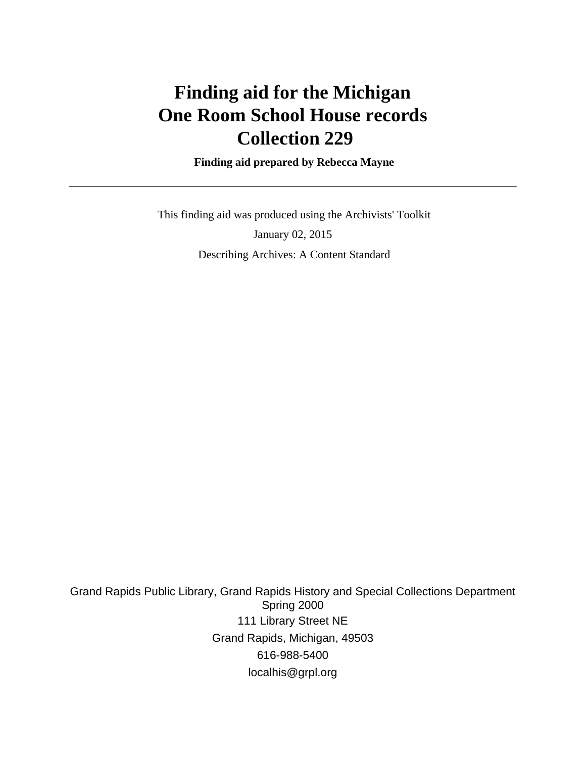# **Finding aid for the Michigan One Room School House records Collection 229**

 **Finding aid prepared by Rebecca Mayne**

 This finding aid was produced using the Archivists' Toolkit January 02, 2015 Describing Archives: A Content Standard

Grand Rapids Public Library, Grand Rapids History and Special Collections Department Spring 2000 111 Library Street NE Grand Rapids, Michigan, 49503 616-988-5400 localhis@grpl.org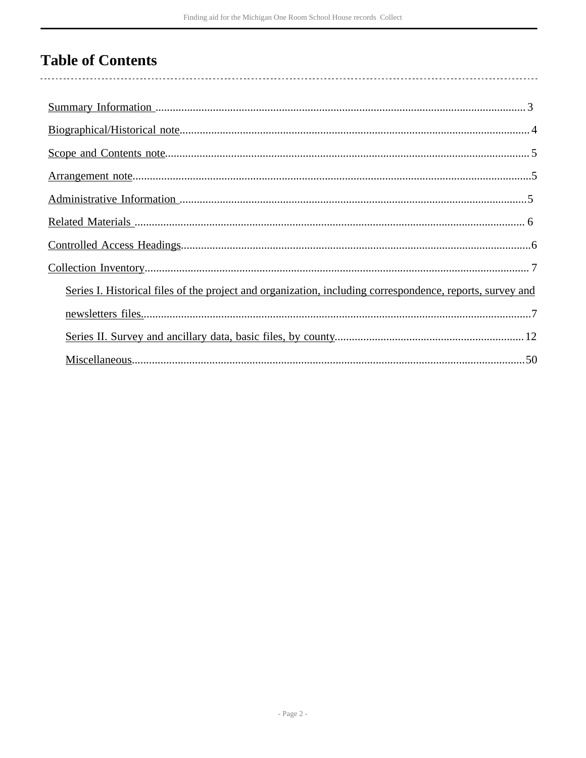# **Table of Contents**

| Series I. Historical files of the project and organization, including correspondence, reports, survey and |
|-----------------------------------------------------------------------------------------------------------|
|                                                                                                           |
|                                                                                                           |
|                                                                                                           |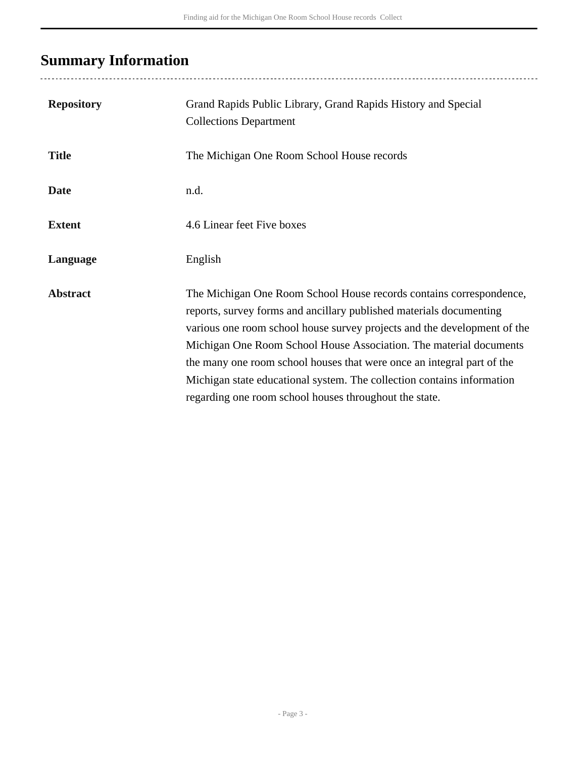# <span id="page-2-0"></span>**Summary Information**

| <b>Repository</b> | Grand Rapids Public Library, Grand Rapids History and Special<br><b>Collections Department</b>                                                                                                                                                                                                                                                                                                                                                                                                             |
|-------------------|------------------------------------------------------------------------------------------------------------------------------------------------------------------------------------------------------------------------------------------------------------------------------------------------------------------------------------------------------------------------------------------------------------------------------------------------------------------------------------------------------------|
| <b>Title</b>      | The Michigan One Room School House records                                                                                                                                                                                                                                                                                                                                                                                                                                                                 |
| <b>Date</b>       | n.d.                                                                                                                                                                                                                                                                                                                                                                                                                                                                                                       |
| <b>Extent</b>     | 4.6 Linear feet Five boxes                                                                                                                                                                                                                                                                                                                                                                                                                                                                                 |
| Language          | English                                                                                                                                                                                                                                                                                                                                                                                                                                                                                                    |
| <b>Abstract</b>   | The Michigan One Room School House records contains correspondence,<br>reports, survey forms and ancillary published materials documenting<br>various one room school house survey projects and the development of the<br>Michigan One Room School House Association. The material documents<br>the many one room school houses that were once an integral part of the<br>Michigan state educational system. The collection contains information<br>regarding one room school houses throughout the state. |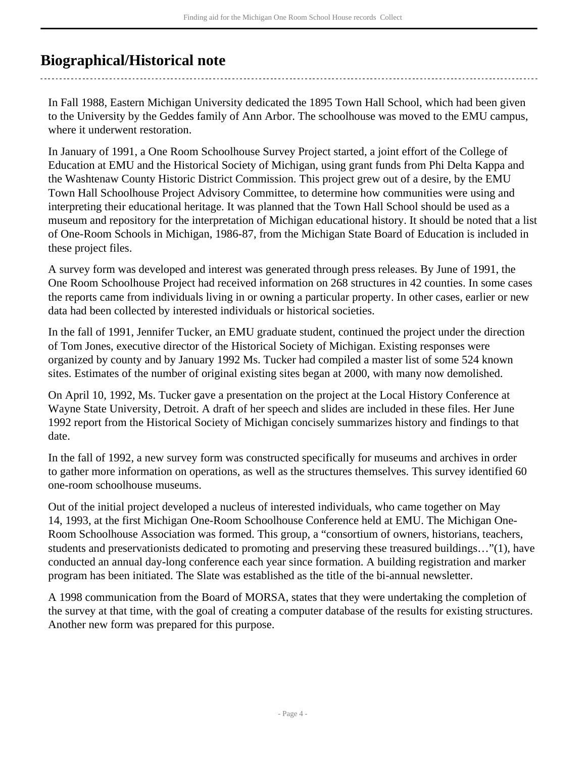## <span id="page-3-0"></span>**Biographical/Historical note**

In Fall 1988, Eastern Michigan University dedicated the 1895 Town Hall School, which had been given to the University by the Geddes family of Ann Arbor. The schoolhouse was moved to the EMU campus, where it underwent restoration.

In January of 1991, a One Room Schoolhouse Survey Project started, a joint effort of the College of Education at EMU and the Historical Society of Michigan, using grant funds from Phi Delta Kappa and the Washtenaw County Historic District Commission. This project grew out of a desire, by the EMU Town Hall Schoolhouse Project Advisory Committee, to determine how communities were using and interpreting their educational heritage. It was planned that the Town Hall School should be used as a museum and repository for the interpretation of Michigan educational history. It should be noted that a list of One-Room Schools in Michigan, 1986-87, from the Michigan State Board of Education is included in these project files.

A survey form was developed and interest was generated through press releases. By June of 1991, the One Room Schoolhouse Project had received information on 268 structures in 42 counties. In some cases the reports came from individuals living in or owning a particular property. In other cases, earlier or new data had been collected by interested individuals or historical societies.

In the fall of 1991, Jennifer Tucker, an EMU graduate student, continued the project under the direction of Tom Jones, executive director of the Historical Society of Michigan. Existing responses were organized by county and by January 1992 Ms. Tucker had compiled a master list of some 524 known sites. Estimates of the number of original existing sites began at 2000, with many now demolished.

On April 10, 1992, Ms. Tucker gave a presentation on the project at the Local History Conference at Wayne State University, Detroit. A draft of her speech and slides are included in these files. Her June 1992 report from the Historical Society of Michigan concisely summarizes history and findings to that date.

In the fall of 1992, a new survey form was constructed specifically for museums and archives in order to gather more information on operations, as well as the structures themselves. This survey identified 60 one-room schoolhouse museums.

Out of the initial project developed a nucleus of interested individuals, who came together on May 14, 1993, at the first Michigan One-Room Schoolhouse Conference held at EMU. The Michigan One-Room Schoolhouse Association was formed. This group, a "consortium of owners, historians, teachers, students and preservationists dedicated to promoting and preserving these treasured buildings…"(1), have conducted an annual day-long conference each year since formation. A building registration and marker program has been initiated. The Slate was established as the title of the bi-annual newsletter.

A 1998 communication from the Board of MORSA, states that they were undertaking the completion of the survey at that time, with the goal of creating a computer database of the results for existing structures. Another new form was prepared for this purpose.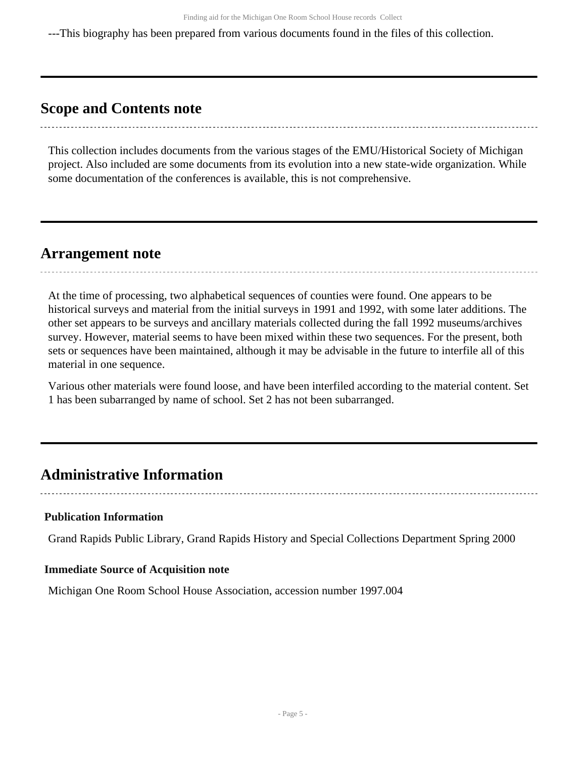---This biography has been prepared from various documents found in the files of this collection.

## <span id="page-4-0"></span>**Scope and Contents note**

This collection includes documents from the various stages of the EMU/Historical Society of Michigan project. Also included are some documents from its evolution into a new state-wide organization. While some documentation of the conferences is available, this is not comprehensive.

## <span id="page-4-1"></span>**Arrangement note**

At the time of processing, two alphabetical sequences of counties were found. One appears to be historical surveys and material from the initial surveys in 1991 and 1992, with some later additions. The other set appears to be surveys and ancillary materials collected during the fall 1992 museums/archives survey. However, material seems to have been mixed within these two sequences. For the present, both sets or sequences have been maintained, although it may be advisable in the future to interfile all of this material in one sequence.

Various other materials were found loose, and have been interfiled according to the material content. Set 1 has been subarranged by name of school. Set 2 has not been subarranged.

## <span id="page-4-2"></span>**Administrative Information**

#### **Publication Information**

Grand Rapids Public Library, Grand Rapids History and Special Collections Department Spring 2000

#### **Immediate Source of Acquisition note**

Michigan One Room School House Association, accession number 1997.004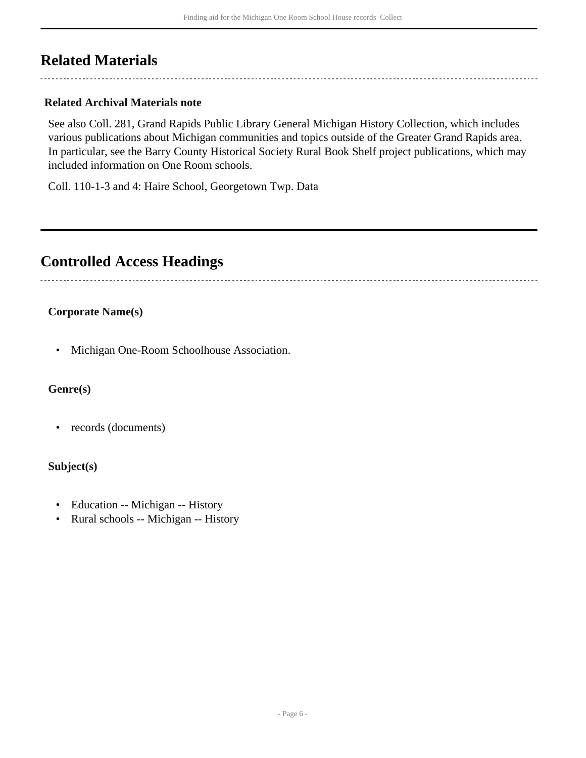## <span id="page-5-0"></span>**Related Materials**

### **Related Archival Materials note**

See also Coll. 281, Grand Rapids Public Library General Michigan History Collection, which includes various publications about Michigan communities and topics outside of the Greater Grand Rapids area. In particular, see the Barry County Historical Society Rural Book Shelf project publications, which may included information on One Room schools.

Coll. 110-1-3 and 4: Haire School, Georgetown Twp. Data

## <span id="page-5-1"></span>**Controlled Access Headings**

### **Corporate Name(s)**

• Michigan One-Room Schoolhouse Association.

#### **Genre(s)**

• records (documents)

#### **Subject(s)**

- Education -- Michigan -- History
- Rural schools -- Michigan -- History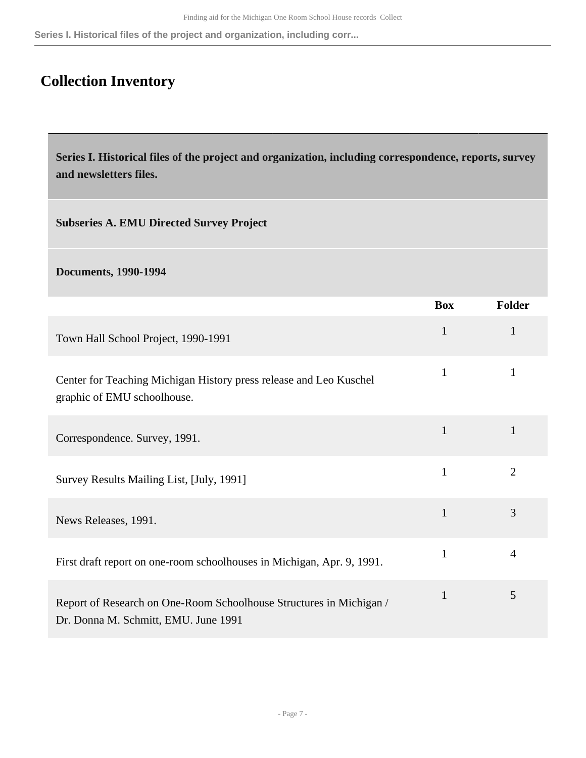**Series I. Historical files of the project and organization, including corr...**

# <span id="page-6-0"></span>**Collection Inventory**

<span id="page-6-1"></span>**Series I. Historical files of the project and organization, including correspondence, reports, survey and newsletters files.** 

**Subseries A. EMU Directed Survey Project** 

**Documents, 1990-1994** 

|                                                                                                             | <b>Box</b>   | <b>Folder</b>  |
|-------------------------------------------------------------------------------------------------------------|--------------|----------------|
| Town Hall School Project, 1990-1991                                                                         | $\mathbf{1}$ | 1              |
| Center for Teaching Michigan History press release and Leo Kuschel<br>graphic of EMU schoolhouse.           | $\mathbf{1}$ | 1              |
| Correspondence. Survey, 1991.                                                                               | $\mathbf{1}$ | $\mathbf{1}$   |
| Survey Results Mailing List, [July, 1991]                                                                   | $\mathbf{1}$ | $\overline{2}$ |
| News Releases, 1991.                                                                                        | $\mathbf{1}$ | 3              |
| First draft report on one-room schoolhouses in Michigan, Apr. 9, 1991.                                      | $\mathbf{1}$ | $\overline{4}$ |
| Report of Research on One-Room Schoolhouse Structures in Michigan /<br>Dr. Donna M. Schmitt, EMU. June 1991 | $\mathbf{1}$ | 5              |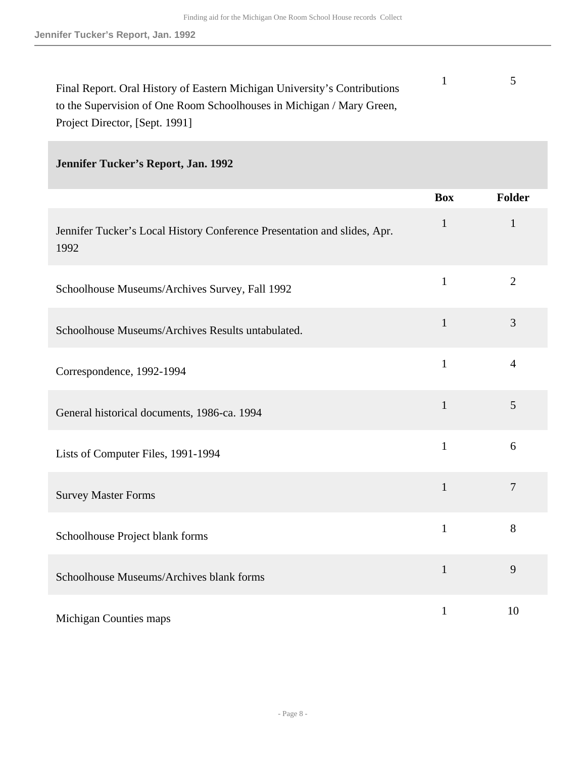| Final Report. Oral History of Eastern Michigan University's Contributions |  |
|---------------------------------------------------------------------------|--|
| to the Supervision of One Room Schoolhouses in Michigan / Mary Green,     |  |
| Project Director, [Sept. 1991]                                            |  |

## **Jennifer Tucker's Report, Jan. 1992**

|                                                                                  | <b>Box</b>   | Folder         |
|----------------------------------------------------------------------------------|--------------|----------------|
| Jennifer Tucker's Local History Conference Presentation and slides, Apr.<br>1992 | $\mathbf{1}$ | $\mathbf{1}$   |
| Schoolhouse Museums/Archives Survey, Fall 1992                                   | $\mathbf{1}$ | $\overline{2}$ |
| Schoolhouse Museums/Archives Results untabulated.                                | $\mathbf{1}$ | 3              |
| Correspondence, 1992-1994                                                        | $\mathbf{1}$ | $\overline{4}$ |
| General historical documents, 1986-ca. 1994                                      | $\mathbf{1}$ | 5              |
| Lists of Computer Files, 1991-1994                                               | $\mathbf{1}$ | 6              |
| <b>Survey Master Forms</b>                                                       | $\mathbf{1}$ | $\overline{7}$ |
| Schoolhouse Project blank forms                                                  | $\mathbf{1}$ | 8              |
| Schoolhouse Museums/Archives blank forms                                         | $\mathbf{1}$ | 9              |
| Michigan Counties maps                                                           | $\mathbf{1}$ | 10             |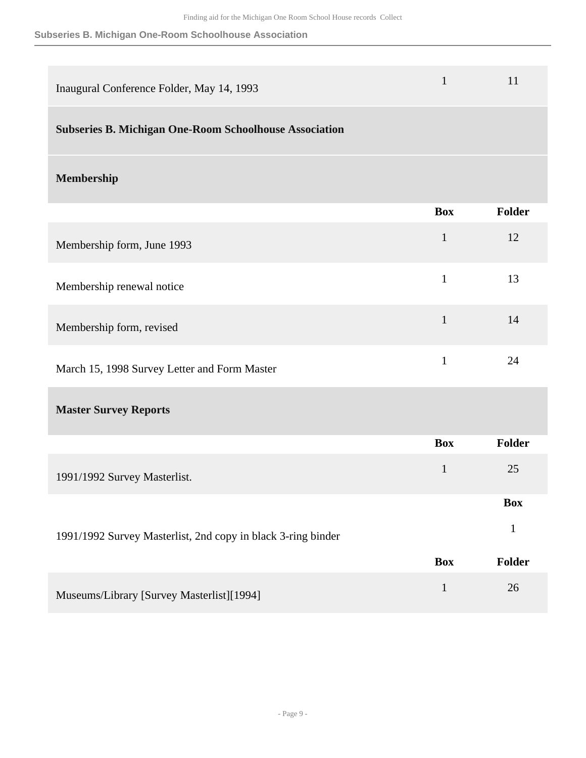#### **Subseries B. Michigan One-Room Schoolhouse Association**

| Inaugural Conference Folder, May 14, 1993                     | $\mathbf{1}$ | 11           |
|---------------------------------------------------------------|--------------|--------------|
| <b>Subseries B. Michigan One-Room Schoolhouse Association</b> |              |              |
| Membership                                                    |              |              |
|                                                               | <b>Box</b>   | Folder       |
| Membership form, June 1993                                    | $\mathbf{1}$ | 12           |
| Membership renewal notice                                     | $\mathbf{1}$ | 13           |
| Membership form, revised                                      | $\mathbf{1}$ | 14           |
| March 15, 1998 Survey Letter and Form Master                  | $\mathbf{1}$ | 24           |
| <b>Master Survey Reports</b>                                  |              |              |
|                                                               | <b>Box</b>   | Folder       |
| 1991/1992 Survey Masterlist.                                  | $\mathbf{1}$ | 25           |
|                                                               |              | <b>Box</b>   |
| 1991/1992 Survey Masterlist, 2nd copy in black 3-ring binder  |              | $\mathbf{1}$ |
|                                                               | <b>Box</b>   | Folder       |
| Museums/Library [Survey Masterlist][1994]                     | $\mathbf{1}$ | 26           |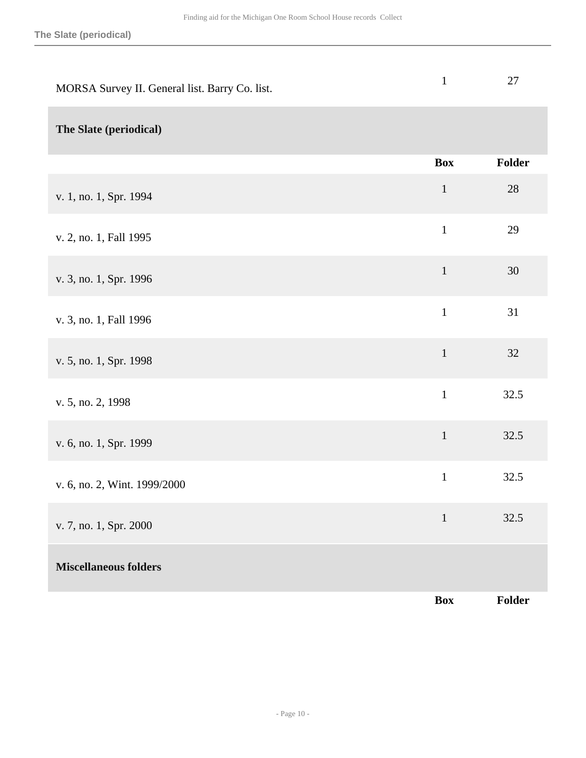| MORSA Survey II. General list. Barry Co. list. | $\mathbf{1}$ | 27     |
|------------------------------------------------|--------------|--------|
| The Slate (periodical)                         |              |        |
|                                                | <b>Box</b>   | Folder |
| v. 1, no. 1, Spr. 1994                         | $\mathbf{1}$ | 28     |
| v. 2, no. 1, Fall 1995                         | $\mathbf{1}$ | 29     |
| v. 3, no. 1, Spr. 1996                         | $\mathbf 1$  | 30     |
| v. 3, no. 1, Fall 1996                         | $\mathbf{1}$ | 31     |
| v. 5, no. 1, Spr. 1998                         | $\mathbf 1$  | 32     |
| v. 5, no. 2, 1998                              | $\mathbf{1}$ | 32.5   |
| v. 6, no. 1, Spr. 1999                         | $\mathbf 1$  | 32.5   |
| v. 6, no. 2, Wint. 1999/2000                   | $\,1\,$      | 32.5   |
| v. 7, no. 1, Spr. 2000                         | $\mathbf{1}$ | 32.5   |
| <b>Miscellaneous folders</b>                   |              |        |
|                                                | <b>Box</b>   | Folder |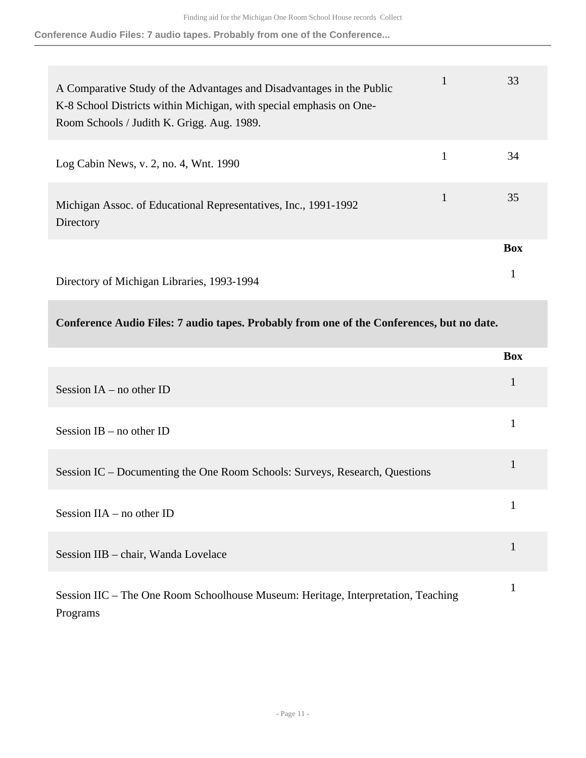**Conference Audio Files: 7 audio tapes. Probably from one of the Conference...**

| A Comparative Study of the Advantages and Disadvantages in the Public<br>K-8 School Districts within Michigan, with special emphasis on One-<br>Room Schools / Judith K. Grigg. Aug. 1989. | 33         |
|--------------------------------------------------------------------------------------------------------------------------------------------------------------------------------------------|------------|
| Log Cabin News, v. 2, no. 4, Wnt. 1990                                                                                                                                                     | 34         |
| Michigan Assoc. of Educational Representatives, Inc., 1991-1992<br>Directory                                                                                                               | 35         |
|                                                                                                                                                                                            | <b>Box</b> |
| Directory of Michigan Libraries, 1993-1994                                                                                                                                                 | 1          |

**Conference Audio Files: 7 audio tapes. Probably from one of the Conferences, but no date.** 

|                                                                                               | <b>Box</b> |
|-----------------------------------------------------------------------------------------------|------------|
| Session $IA$ – no other ID                                                                    | 1          |
| Session $IB$ – no other $ID$                                                                  |            |
| Session IC – Documenting the One Room Schools: Surveys, Research, Questions                   | 1          |
| Session $IIA$ – no other ID                                                                   |            |
| Session IIB - chair, Wanda Lovelace                                                           |            |
| Session IIC - The One Room Schoolhouse Museum: Heritage, Interpretation, Teaching<br>Programs |            |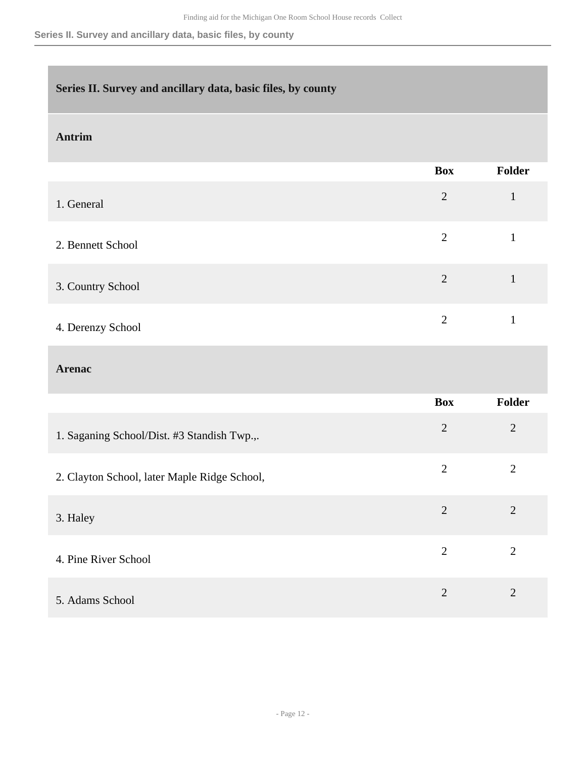### <span id="page-11-0"></span>**Series II. Survey and ancillary data, basic files, by county**

#### **Antrim**

|                   | <b>Box</b>     | Folder |
|-------------------|----------------|--------|
| 1. General        | $\overline{2}$ |        |
| 2. Bennett School | 2              |        |
| 3. Country School | $\overline{2}$ |        |
| 4. Derenzy School | $\overline{2}$ |        |

#### **Arenac**

|                                              | <b>Box</b>     | <b>Folder</b>  |
|----------------------------------------------|----------------|----------------|
| 1. Saganing School/Dist. #3 Standish Twp.,.  | $\overline{2}$ | $\overline{2}$ |
| 2. Clayton School, later Maple Ridge School, | $\overline{2}$ | $\overline{2}$ |
| 3. Haley                                     | $\overline{2}$ | 2              |
| 4. Pine River School                         | $\overline{2}$ | $\overline{2}$ |
| 5. Adams School                              | $\overline{2}$ | $\overline{2}$ |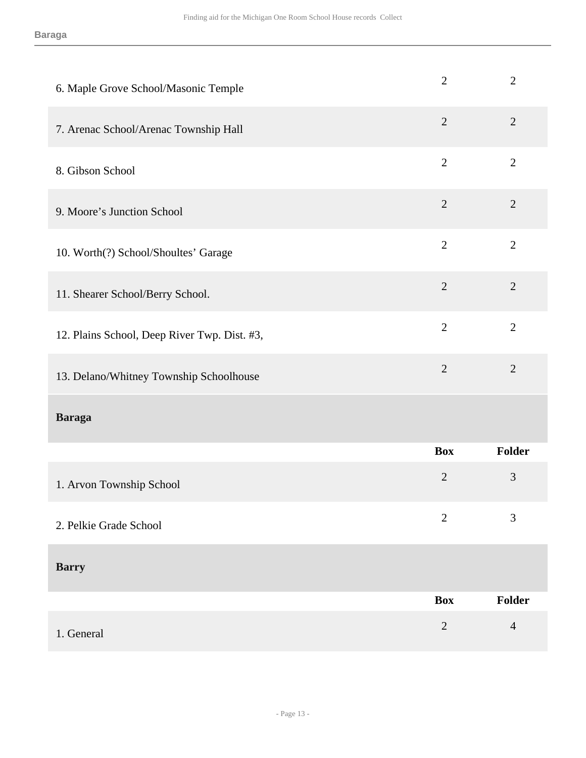| 6. Maple Grove School/Masonic Temple         | $\overline{2}$ | $\overline{2}$ |
|----------------------------------------------|----------------|----------------|
| 7. Arenac School/Arenac Township Hall        | $\overline{2}$ | $\overline{2}$ |
| 8. Gibson School                             | $\overline{2}$ | $\overline{2}$ |
| 9. Moore's Junction School                   | $\overline{2}$ | $\overline{2}$ |
| 10. Worth(?) School/Shoultes' Garage         | $\overline{2}$ | $\overline{2}$ |
| 11. Shearer School/Berry School.             | $\overline{2}$ | $\overline{2}$ |
| 12. Plains School, Deep River Twp. Dist. #3, | $\overline{2}$ | $\overline{2}$ |
| 13. Delano/Whitney Township Schoolhouse      | $\overline{2}$ | $\overline{2}$ |
| <b>Baraga</b>                                |                |                |
|                                              | <b>Box</b>     | Folder         |
| 1. Arvon Township School                     | $\overline{2}$ | 3              |
| 2. Pelkie Grade School                       | $\overline{2}$ | 3              |
| <b>Barry</b>                                 |                |                |
|                                              | <b>Box</b>     | Folder         |
|                                              | $\overline{2}$ | $\overline{4}$ |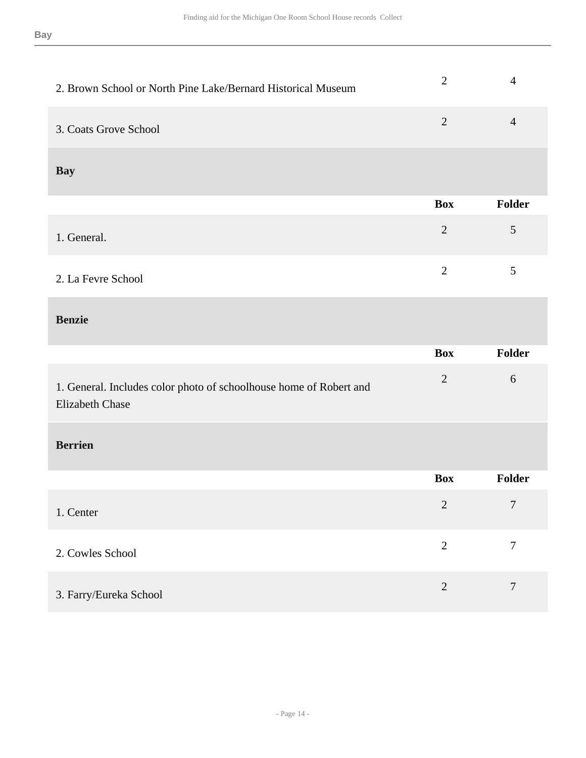| 2. Brown School or North Pine Lake/Bernard Historical Museum                                 | $\overline{2}$ | $\overline{4}$ |
|----------------------------------------------------------------------------------------------|----------------|----------------|
| 3. Coats Grove School                                                                        | $\overline{2}$ | $\overline{4}$ |
| <b>Bay</b>                                                                                   |                |                |
|                                                                                              | <b>Box</b>     | Folder         |
| 1. General.                                                                                  | $\sqrt{2}$     | $\mathfrak{S}$ |
| 2. La Fevre School                                                                           | $\overline{2}$ | $\mathfrak{S}$ |
| <b>Benzie</b>                                                                                |                |                |
|                                                                                              |                |                |
|                                                                                              | <b>Box</b>     | Folder         |
| 1. General. Includes color photo of schoolhouse home of Robert and<br><b>Elizabeth Chase</b> | $\sqrt{2}$     | 6              |
| <b>Berrien</b>                                                                               |                |                |
|                                                                                              | <b>Box</b>     | Folder         |
| 1. Center                                                                                    | $\overline{2}$ | $\overline{7}$ |
| 2. Cowles School                                                                             | $\overline{2}$ | $\overline{7}$ |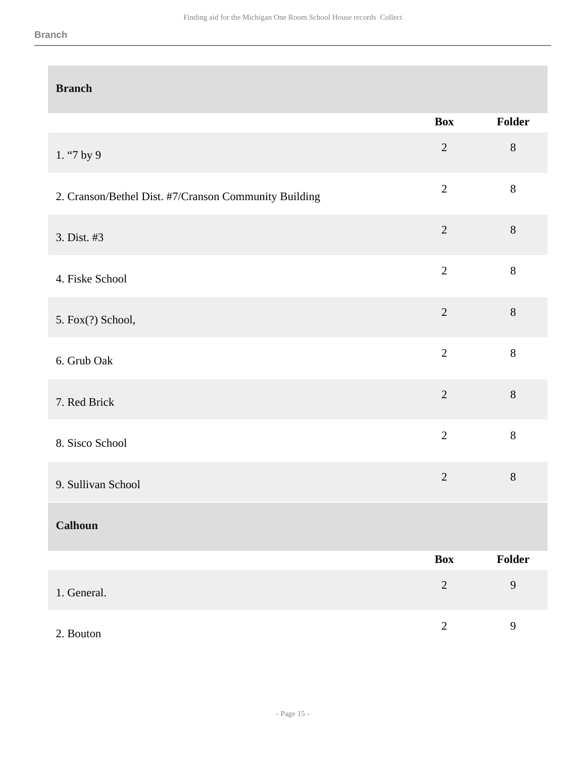#### **Branch**

| <b>Branch</b>                                         |                |         |
|-------------------------------------------------------|----------------|---------|
|                                                       | <b>Box</b>     | Folder  |
| 1. "7 by 9                                            | $\overline{2}$ | $8\,$   |
| 2. Cranson/Bethel Dist. #7/Cranson Community Building | $\overline{2}$ | $\bf 8$ |
| 3. Dist. #3                                           | $\sqrt{2}$     | $8\,$   |
| 4. Fiske School                                       | $\overline{2}$ | 8       |
| 5. Fox(?) School,                                     | $\overline{2}$ | $8\,$   |
| 6. Grub Oak                                           | $\overline{2}$ | $8\,$   |
| 7. Red Brick                                          | $\overline{2}$ | 8       |
| 8. Sisco School                                       | $\overline{2}$ | $8\,$   |
| 9. Sullivan School                                    | $\overline{2}$ | $8\,$   |
| <b>Calhoun</b>                                        |                |         |
|                                                       | <b>Box</b>     | Folder  |
| 1. General.                                           | $\sqrt{2}$     | 9       |
| 2. Bouton                                             | $\overline{2}$ | 9       |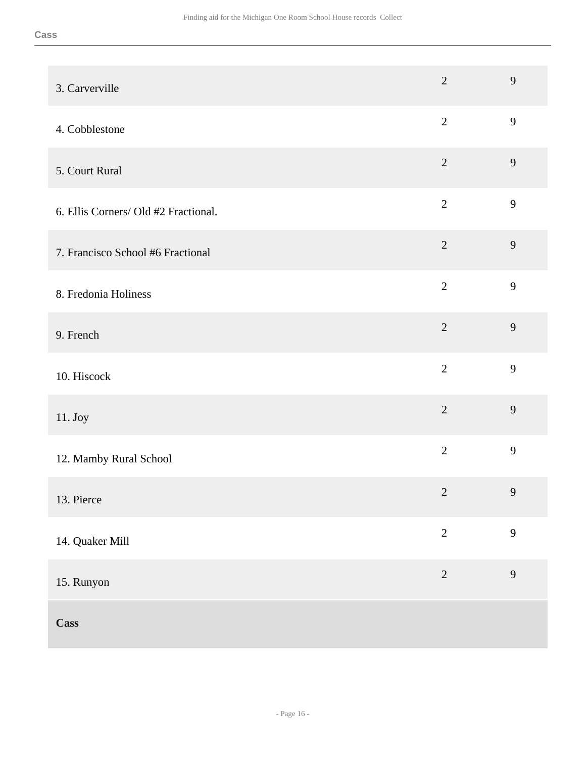| 3. Carverville                       | $\overline{2}$ | 9              |
|--------------------------------------|----------------|----------------|
| 4. Cobblestone                       | $\overline{2}$ | 9              |
| 5. Court Rural                       | $\overline{2}$ | $\mathbf{9}$   |
| 6. Ellis Corners/ Old #2 Fractional. | $\overline{2}$ | 9              |
| 7. Francisco School #6 Fractional    | $\overline{2}$ | 9              |
| 8. Fredonia Holiness                 | $\overline{2}$ | 9              |
| 9. French                            | $\overline{2}$ | 9              |
| 10. Hiscock                          | $\overline{2}$ | 9              |
| 11. Joy                              | $\overline{2}$ | 9              |
| 12. Mamby Rural School               | $\overline{2}$ | 9              |
| 13. Pierce                           | $\overline{2}$ | $\overline{9}$ |
| 14. Quaker Mill                      | $\overline{2}$ | 9              |
| 15. Runyon                           | $\sqrt{2}$     | 9              |
| <b>Cass</b>                          |                |                |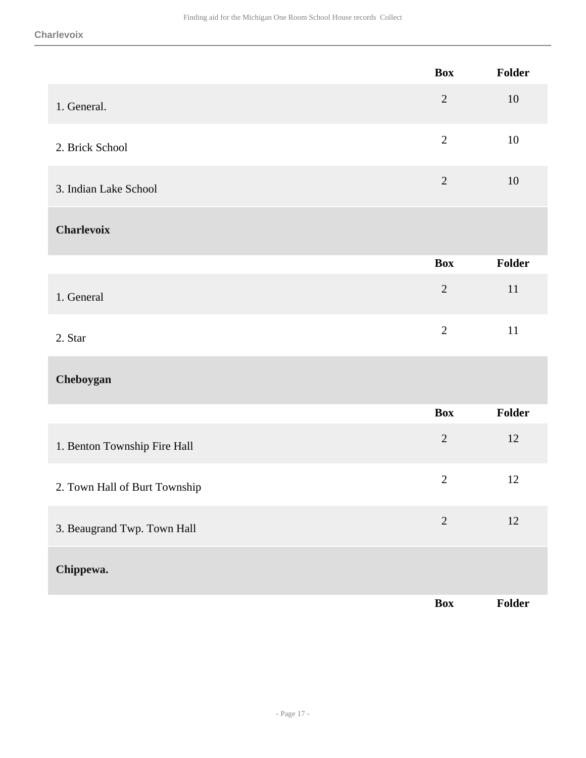|                               | <b>Box</b>     | Folder |
|-------------------------------|----------------|--------|
| 1. General.                   | $\mathbf{2}$   | 10     |
| 2. Brick School               | $\overline{2}$ | 10     |
| 3. Indian Lake School         | $\mathbf{2}$   | 10     |
| <b>Charlevoix</b>             |                |        |
|                               | <b>Box</b>     | Folder |
| 1. General                    | $\sqrt{2}$     | 11     |
| 2. Star                       | $\overline{2}$ | $11\,$ |
| Cheboygan                     |                |        |
|                               | <b>Box</b>     | Folder |
| 1. Benton Township Fire Hall  | $\sqrt{2}$     | 12     |
| 2. Town Hall of Burt Township | $\overline{2}$ | 12     |
| 3. Beaugrand Twp. Town Hall   | $\overline{2}$ | 12     |
| Chippewa.                     |                |        |
|                               | <b>Box</b>     | Folder |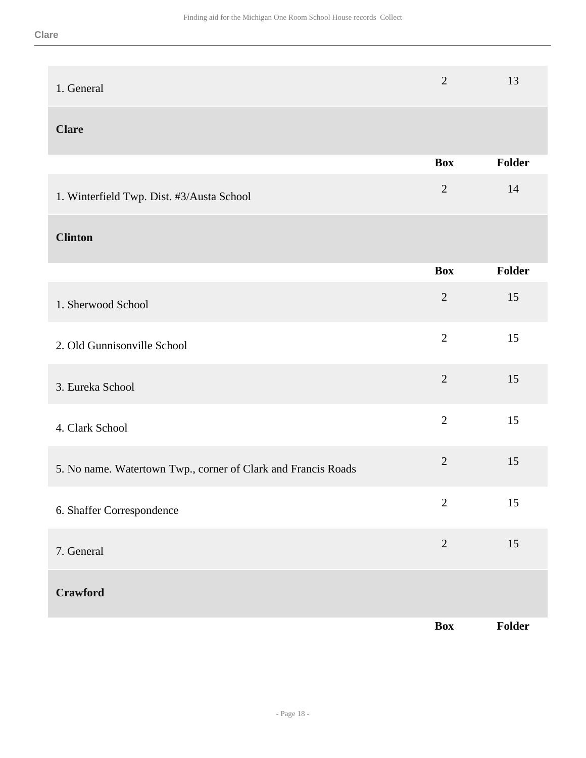| 1. General                                                    | $\overline{2}$ | 13     |
|---------------------------------------------------------------|----------------|--------|
| <b>Clare</b>                                                  |                |        |
|                                                               | <b>Box</b>     | Folder |
| 1. Winterfield Twp. Dist. #3/Austa School                     | $\sqrt{2}$     | 14     |
| <b>Clinton</b>                                                |                |        |
|                                                               | <b>Box</b>     | Folder |
| 1. Sherwood School                                            | $\overline{2}$ | 15     |
| 2. Old Gunnisonville School                                   | $\overline{2}$ | 15     |
| 3. Eureka School                                              | $\sqrt{2}$     | 15     |
| 4. Clark School                                               | $\overline{2}$ | 15     |
| 5. No name. Watertown Twp., corner of Clark and Francis Roads | $\overline{2}$ | 15     |
| 6. Shaffer Correspondence                                     | $\overline{2}$ | 15     |
| 7. General                                                    | $\overline{2}$ | 15     |
| Crawford                                                      |                |        |
|                                                               | <b>Box</b>     | Folder |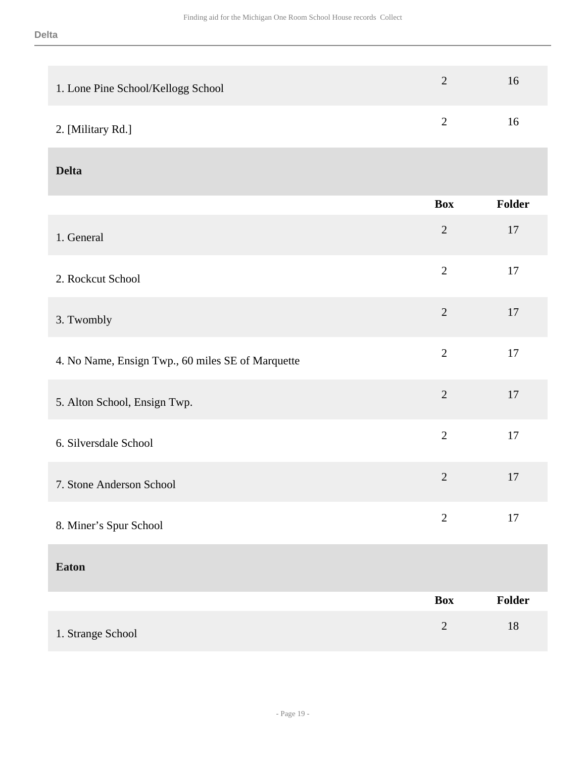| 1. Lone Pine School/Kellogg School                | $\overline{2}$ | 16     |
|---------------------------------------------------|----------------|--------|
| 2. [Military Rd.]                                 | $\sqrt{2}$     | 16     |
| <b>Delta</b>                                      |                |        |
|                                                   | <b>Box</b>     | Folder |
| 1. General                                        | $\sqrt{2}$     | 17     |
| 2. Rockcut School                                 | $\overline{2}$ | $17\,$ |
| 3. Twombly                                        | $\overline{2}$ | 17     |
| 4. No Name, Ensign Twp., 60 miles SE of Marquette | $\overline{2}$ | $17\,$ |
| 5. Alton School, Ensign Twp.                      | $\overline{2}$ | 17     |
| 6. Silversdale School                             | $\overline{2}$ | 17     |
| 7. Stone Anderson School                          | $\overline{2}$ | 17     |
| 8. Miner's Spur School                            | $\sqrt{2}$     | $17\,$ |
| <b>Eaton</b>                                      |                |        |
|                                                   | <b>Box</b>     | Folder |
| 1. Strange School                                 | $\sqrt{2}$     | $18\,$ |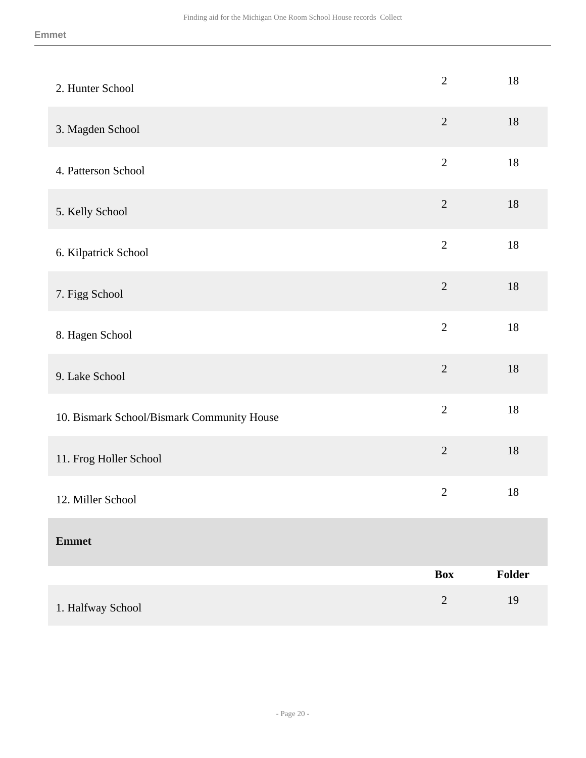| 2. Hunter School                           | $\mathbf{2}$   | $18\,$ |
|--------------------------------------------|----------------|--------|
| 3. Magden School                           | $\overline{2}$ | $18\,$ |
| 4. Patterson School                        | $\sqrt{2}$     | $18\,$ |
| 5. Kelly School                            | $\sqrt{2}$     | $18\,$ |
| 6. Kilpatrick School                       | $\overline{2}$ | 18     |
| 7. Figg School                             | $\overline{2}$ | 18     |
| 8. Hagen School                            | $\overline{2}$ | $18\,$ |
| 9. Lake School                             | $\overline{2}$ | $18\,$ |
| 10. Bismark School/Bismark Community House | $\overline{2}$ | $18\,$ |
| 11. Frog Holler School                     | $\overline{2}$ | $18\,$ |
| 12. Miller School                          | $\sqrt{2}$     | 18     |
| <b>Emmet</b>                               |                |        |
|                                            | <b>Box</b>     | Folder |
| 1. Halfway School                          | $\sqrt{2}$     | 19     |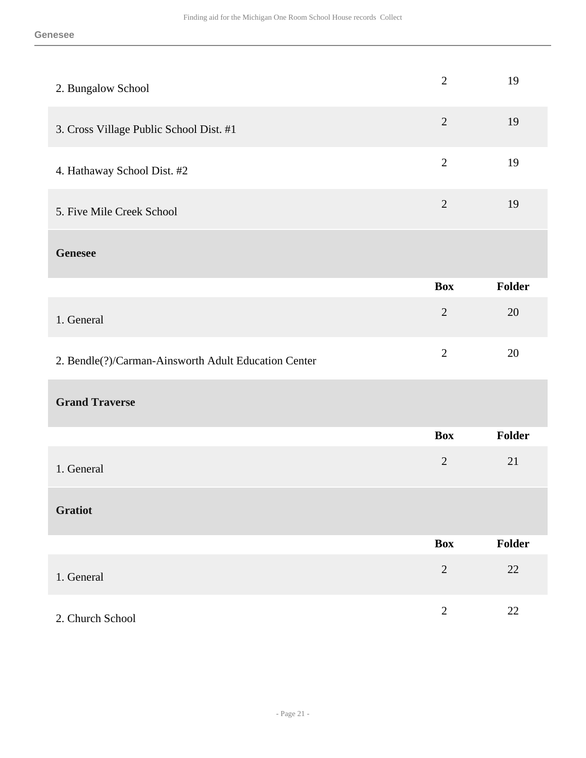| 2. Bungalow School                                   | $\overline{2}$ | 19     |
|------------------------------------------------------|----------------|--------|
| 3. Cross Village Public School Dist. #1              | $\overline{2}$ | 19     |
| 4. Hathaway School Dist. #2                          | $\mathbf{2}$   | 19     |
| 5. Five Mile Creek School                            | $\sqrt{2}$     | 19     |
| <b>Genesee</b>                                       |                |        |
|                                                      | <b>Box</b>     | Folder |
| 1. General                                           | $\overline{2}$ | 20     |
| 2. Bendle(?)/Carman-Ainsworth Adult Education Center | $\overline{2}$ | 20     |
| <b>Grand Traverse</b>                                |                |        |
|                                                      | <b>Box</b>     | Folder |
| 1. General                                           | $\overline{2}$ | 21     |
| <b>Gratiot</b>                                       |                |        |
|                                                      | <b>Box</b>     | Folder |
| 1. General                                           | $\sqrt{2}$     | $22\,$ |
| 2. Church School                                     | $\sqrt{2}$     | 22     |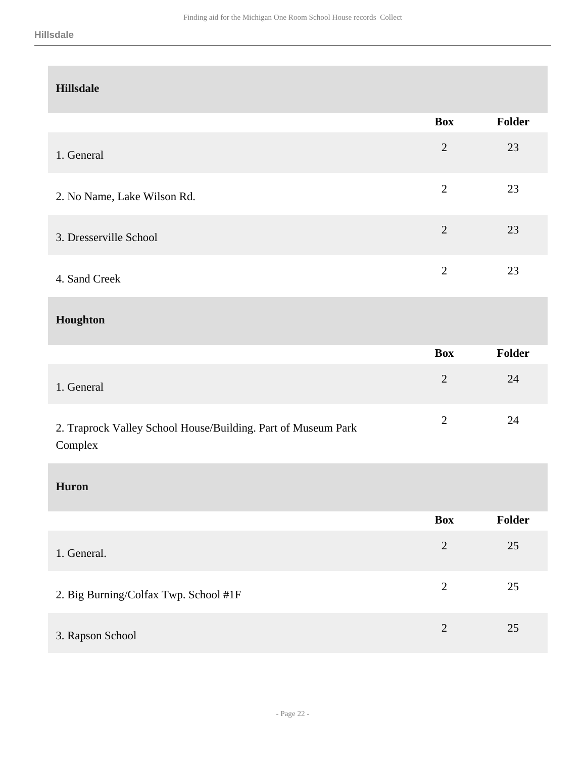| <b>Hillsdale</b>                                                         |                |        |
|--------------------------------------------------------------------------|----------------|--------|
|                                                                          | <b>Box</b>     | Folder |
| 1. General                                                               | $\overline{2}$ | 23     |
| 2. No Name, Lake Wilson Rd.                                              | $\overline{2}$ | 23     |
| 3. Dresserville School                                                   | $\overline{2}$ | 23     |
| 4. Sand Creek                                                            | $\overline{2}$ | 23     |
| Houghton                                                                 |                |        |
|                                                                          | <b>Box</b>     | Folder |
| 1. General                                                               | $\overline{2}$ | 24     |
| 2. Traprock Valley School House/Building. Part of Museum Park<br>Complex | $\overline{2}$ | 24     |
| <b>Huron</b>                                                             |                |        |
|                                                                          | <b>Box</b>     | Folder |
| 1. General.                                                              | $\overline{2}$ | $25\,$ |
|                                                                          |                |        |
| 2. Big Burning/Colfax Twp. School #1F                                    | $\overline{2}$ | $25\,$ |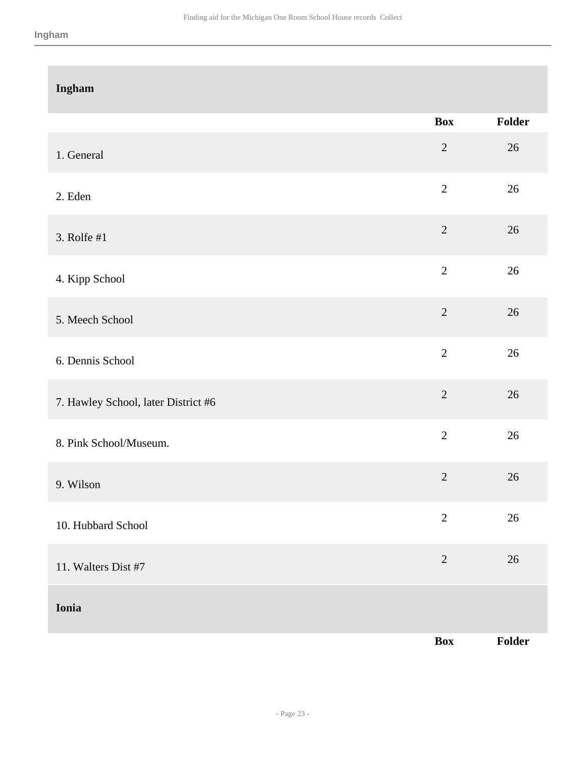| Ingham                              |                |        |
|-------------------------------------|----------------|--------|
|                                     | <b>Box</b>     | Folder |
| 1. General                          | $\overline{2}$ | $26\,$ |
| 2. Eden                             | $\overline{2}$ | 26     |
| 3. Rolfe #1                         | $\overline{2}$ | 26     |
| 4. Kipp School                      | $\overline{2}$ | $26\,$ |
| 5. Meech School                     | $\overline{2}$ | 26     |
| 6. Dennis School                    | $\overline{2}$ | $26\,$ |
| 7. Hawley School, later District #6 | $\overline{2}$ | 26     |
| 8. Pink School/Museum.              | $\overline{2}$ | 26     |
| 9. Wilson                           | $\overline{2}$ | 26     |
| 10. Hubbard School                  | $\sqrt{2}$     | $26\,$ |
| 11. Walters Dist #7                 | $\sqrt{2}$     | $26\,$ |
| Ionia                               |                |        |
|                                     | Box            | Folder |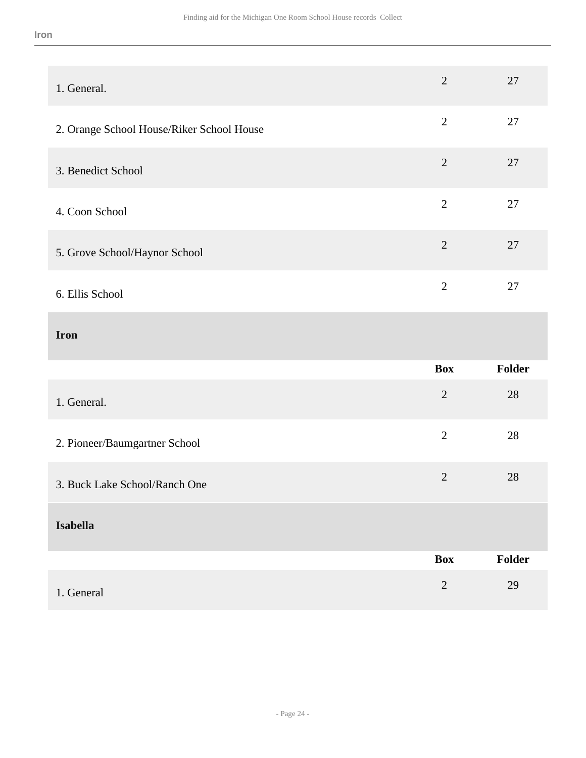#### **Iron**

| 1. General.                               | $\overline{2}$ | 27     |
|-------------------------------------------|----------------|--------|
| 2. Orange School House/Riker School House | $\overline{2}$ | 27     |
| 3. Benedict School                        | $\overline{2}$ | 27     |
| 4. Coon School                            | $\overline{2}$ | $27\,$ |
| 5. Grove School/Haynor School             | $\sqrt{2}$     | 27     |
| 6. Ellis School                           | $\overline{2}$ | $27\,$ |
|                                           |                |        |
| <b>Iron</b>                               |                |        |
|                                           | <b>Box</b>     | Folder |
| 1. General.                               | $\sqrt{2}$     | 28     |
| 2. Pioneer/Baumgartner School             | $\overline{2}$ | $28\,$ |
| 3. Buck Lake School/Ranch One             | $\sqrt{2}$     | 28     |
| <b>Isabella</b>                           |                |        |
|                                           | <b>Box</b>     | Folder |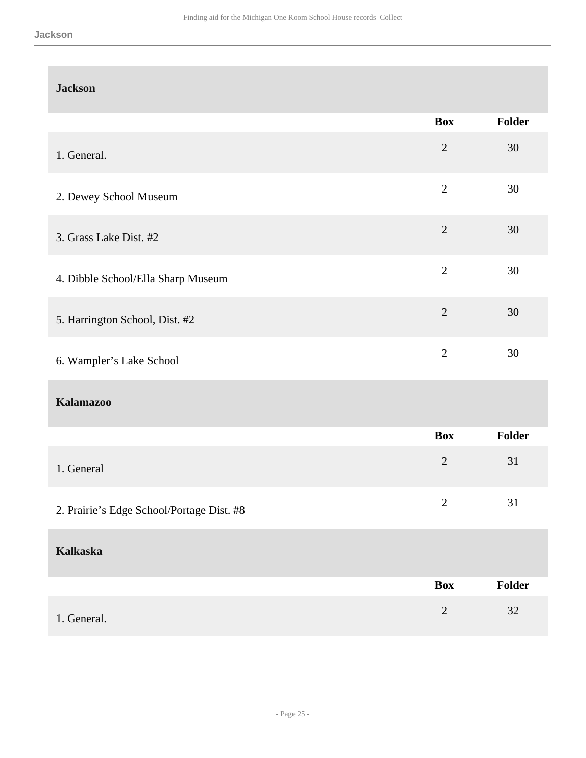| <b>Jackson</b>                            |                |               |
|-------------------------------------------|----------------|---------------|
|                                           | <b>Box</b>     | <b>Folder</b> |
| 1. General.                               | $\overline{2}$ | 30            |
| 2. Dewey School Museum                    | $\overline{2}$ | 30            |
| 3. Grass Lake Dist. #2                    | $\sqrt{2}$     | 30            |
| 4. Dibble School/Ella Sharp Museum        | $\overline{2}$ | 30            |
| 5. Harrington School, Dist. #2            | $\overline{2}$ | 30            |
| 6. Wampler's Lake School                  | $\overline{2}$ | 30            |
| <b>Kalamazoo</b>                          |                |               |
|                                           | <b>Box</b>     | Folder        |
| 1. General                                | $\sqrt{2}$     | 31            |
| 2. Prairie's Edge School/Portage Dist. #8 | $\mathbf{2}$   | 31            |
| <b>Kalkaska</b>                           |                |               |
|                                           | <b>Box</b>     | Folder        |
| 1. General.                               | $\sqrt{2}$     | $32\,$        |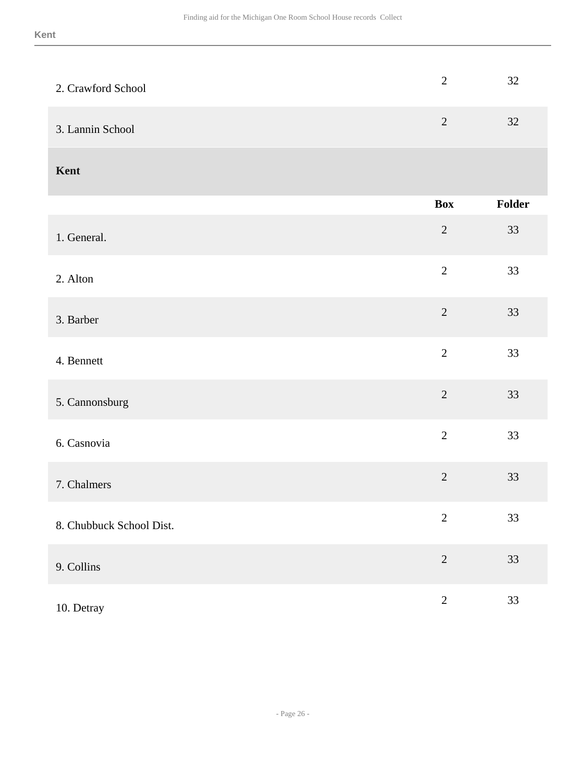| 2. Crawford School       | $\overline{2}$ | 32     |
|--------------------------|----------------|--------|
| 3. Lannin School         | $\overline{2}$ | 32     |
| Kent                     |                |        |
|                          | <b>Box</b>     | Folder |
| 1. General.              | $\overline{2}$ | 33     |
| 2. Alton                 | $\overline{2}$ | 33     |
| 3. Barber                | $\overline{2}$ | 33     |
| 4. Bennett               | $\overline{2}$ | 33     |
| 5. Cannonsburg           | $\overline{2}$ | 33     |
| 6. Casnovia              | $\sqrt{2}$     | 33     |
| 7. Chalmers              | $\overline{2}$ | 33     |
| 8. Chubbuck School Dist. | $\sqrt{2}$     | 33     |
| 9. Collins               | $\sqrt{2}$     | 33     |
| 10. Detray               | $\sqrt{2}$     | 33     |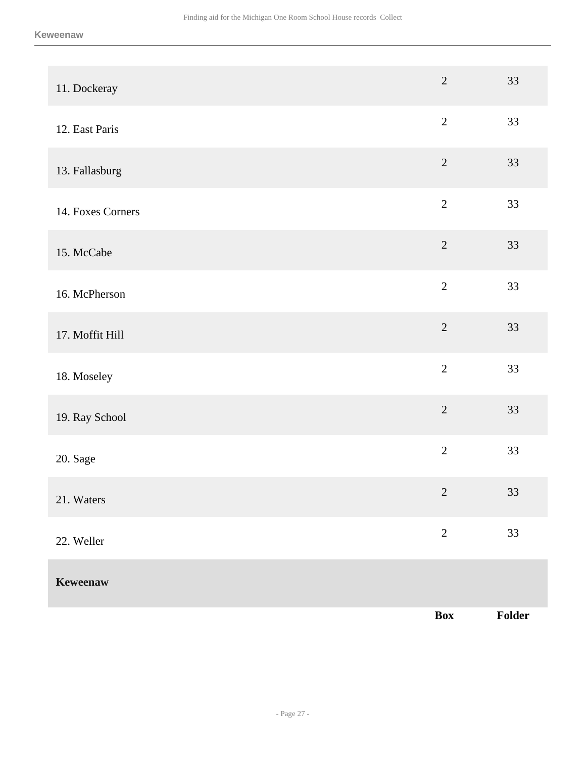| 11. Dockeray      | $\overline{2}$ | 33     |
|-------------------|----------------|--------|
| 12. East Paris    | $\sqrt{2}$     | 33     |
| 13. Fallasburg    | $\sqrt{2}$     | 33     |
| 14. Foxes Corners | $\overline{2}$ | 33     |
| 15. McCabe        | $\overline{2}$ | 33     |
| 16. McPherson     | $\overline{2}$ | 33     |
| 17. Moffit Hill   | $\overline{2}$ | 33     |
| 18. Moseley       | $\overline{2}$ | 33     |
| 19. Ray School    | $\overline{2}$ | 33     |
| 20. Sage          | $\overline{2}$ | 33     |
| 21. Waters        | $\sqrt{2}$     | 33     |
| 22. Weller        | $\overline{2}$ | 33     |
| Keweenaw          |                |        |
|                   | Box            | Folder |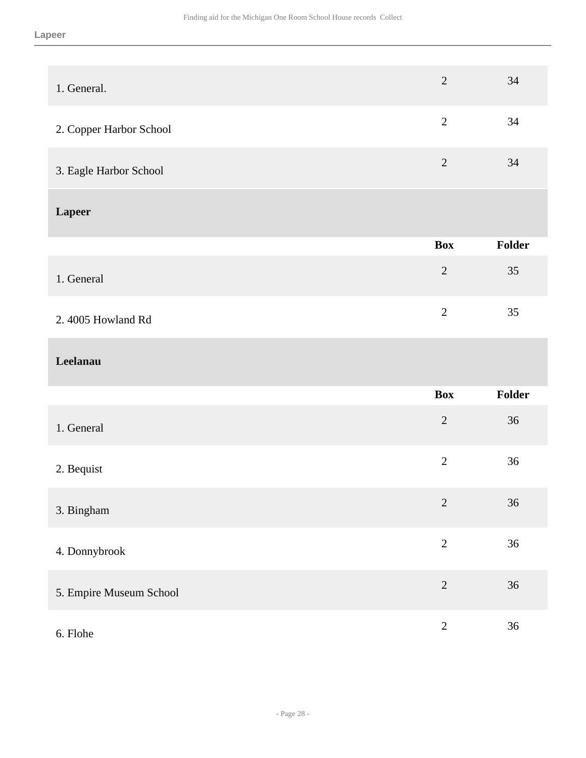| 1. General.             | $\sqrt{2}$     | 34     |
|-------------------------|----------------|--------|
| 2. Copper Harbor School | $\overline{2}$ | 34     |
| 3. Eagle Harbor School  | $\overline{2}$ | 34     |
| <b>Lapeer</b>           |                |        |
|                         | <b>Box</b>     | Folder |
| 1. General              | $\overline{2}$ | 35     |
| 2.4005 Howland Rd       | $\overline{2}$ | 35     |
| Leelanau                |                |        |
|                         | <b>Box</b>     | Folder |
| 1. General              | $\overline{2}$ | 36     |
| 2. Bequist              | $\overline{2}$ | 36     |
| 3. Bingham              | $\sqrt{2}$     | 36     |
| 4. Donnybrook           | $\overline{2}$ | 36     |
| 5. Empire Museum School | $\sqrt{2}$     | 36     |
| 6. Flohe                | $\sqrt{2}$     | 36     |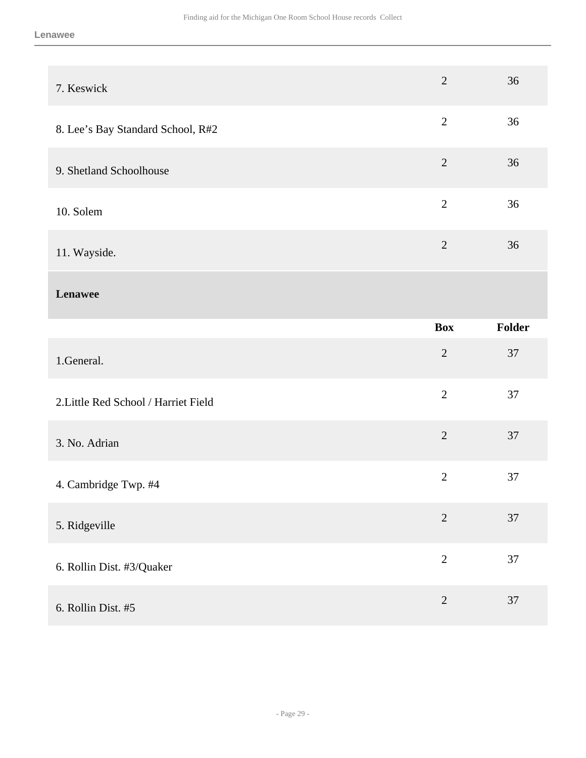| 7. Keswick                           | $\overline{2}$ | 36     |
|--------------------------------------|----------------|--------|
| 8. Lee's Bay Standard School, R#2    | $\overline{2}$ | 36     |
| 9. Shetland Schoolhouse              | $\overline{2}$ | 36     |
| 10. Solem                            | $\overline{2}$ | 36     |
| 11. Wayside.                         | $\overline{2}$ | 36     |
| Lenawee                              |                |        |
|                                      | <b>Box</b>     | Folder |
|                                      |                |        |
| 1.General.                           | $\overline{2}$ | 37     |
| 2. Little Red School / Harriet Field | $\overline{2}$ | 37     |
| 3. No. Adrian                        | $\overline{2}$ | 37     |
| 4. Cambridge Twp. #4                 | $\mathbf{2}$   | 37     |
| 5. Ridgeville                        | $\sqrt{2}$     | 37     |
| 6. Rollin Dist. #3/Quaker            | $\overline{2}$ | 37     |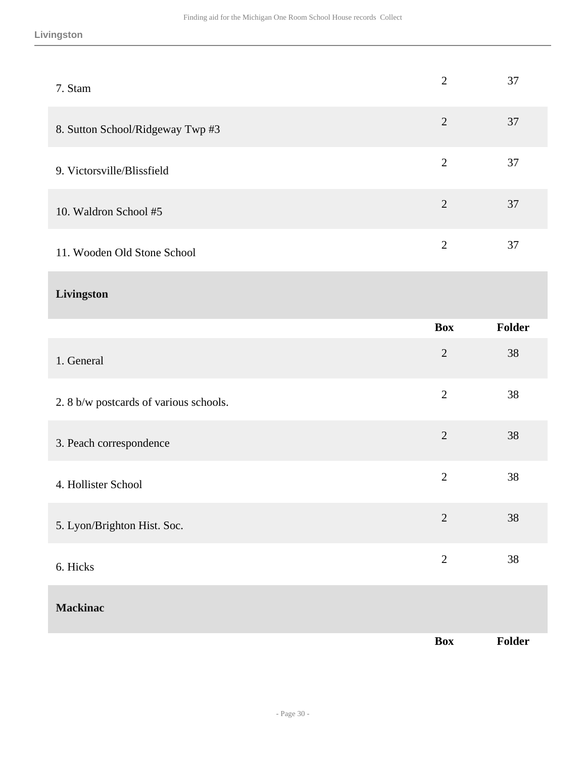| 7. Stam                               | $\overline{2}$ | 37            |
|---------------------------------------|----------------|---------------|
| 8. Sutton School/Ridgeway Twp #3      | $\overline{2}$ | 37            |
| 9. Victorsville/Blissfield            | $\overline{2}$ | 37            |
| 10. Waldron School #5                 | $\overline{2}$ | 37            |
| 11. Wooden Old Stone School           | $\overline{2}$ | 37            |
| Livingston                            |                |               |
|                                       | <b>Box</b>     | <b>Folder</b> |
| 1. General                            | $\overline{2}$ | 38            |
| 2.8 b/w postcards of various schools. | $\overline{2}$ | 38            |
| 3. Peach correspondence               | $\overline{2}$ | 38            |
| 4. Hollister School                   | $\mathbf{2}$   | 38            |
| 5. Lyon/Brighton Hist. Soc.           | $\sqrt{2}$     | 38            |
| 6. Hicks                              | $\overline{2}$ | 38            |
| <b>Mackinac</b>                       |                |               |
|                                       | Box            | Folder        |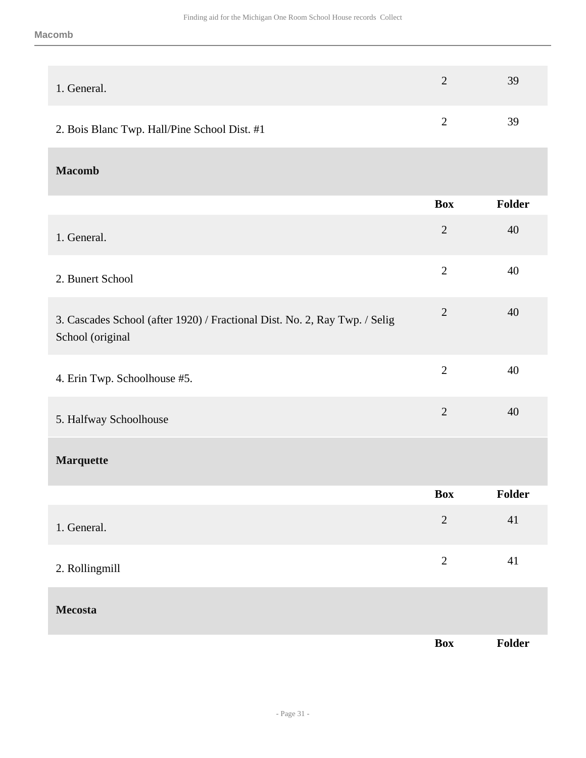| 1. General.                                  | 39 |
|----------------------------------------------|----|
| 2. Bois Blanc Twp. Hall/Pine School Dist. #1 | 39 |

**Macomb** 

|                                                                                                | <b>Box</b>     | Folder |
|------------------------------------------------------------------------------------------------|----------------|--------|
| 1. General.                                                                                    | $\overline{2}$ | 40     |
| 2. Bunert School                                                                               | $\overline{2}$ | 40     |
| 3. Cascades School (after 1920) / Fractional Dist. No. 2, Ray Twp. / Selig<br>School (original | $\overline{2}$ | 40     |
| 4. Erin Twp. Schoolhouse #5.                                                                   | $\overline{2}$ | 40     |
| 5. Halfway Schoolhouse                                                                         | $\mathbf{2}$   | 40     |
| <b>Marquette</b>                                                                               |                |        |
|                                                                                                | <b>Box</b>     | Folder |
| 1. General.                                                                                    | $\overline{2}$ | 41     |
| 2. Rollingmill                                                                                 | $\overline{2}$ | 41     |
| <b>Mecosta</b>                                                                                 |                |        |
|                                                                                                | <b>Box</b>     | Folder |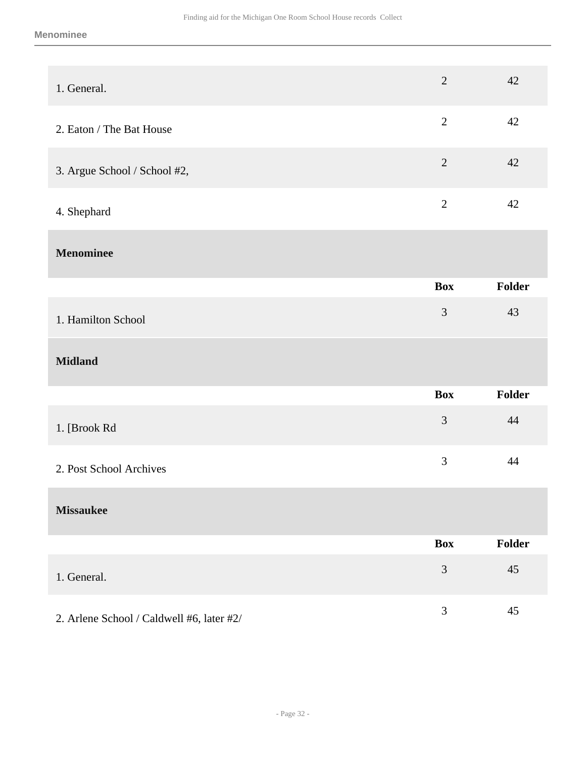| 1. General.                               | $\overline{2}$ | 42     |
|-------------------------------------------|----------------|--------|
| 2. Eaton / The Bat House                  | $\overline{2}$ | 42     |
| 3. Argue School / School #2,              | $\overline{2}$ | 42     |
| 4. Shephard                               | $\overline{2}$ | 42     |
| <b>Menominee</b>                          |                |        |
|                                           | <b>Box</b>     | Folder |
| 1. Hamilton School                        | $\mathfrak{Z}$ | 43     |
| <b>Midland</b>                            |                |        |
|                                           | <b>Box</b>     | Folder |
| 1. [Brook Rd                              | 3              | 44     |
| 2. Post School Archives                   | 3              | 44     |
| <b>Missaukee</b>                          |                |        |
|                                           | <b>Box</b>     | Folder |
| 1. General.                               | $\mathfrak{Z}$ | 45     |
| 2. Arlene School / Caldwell #6, later #2/ | $\mathfrak{Z}$ | 45     |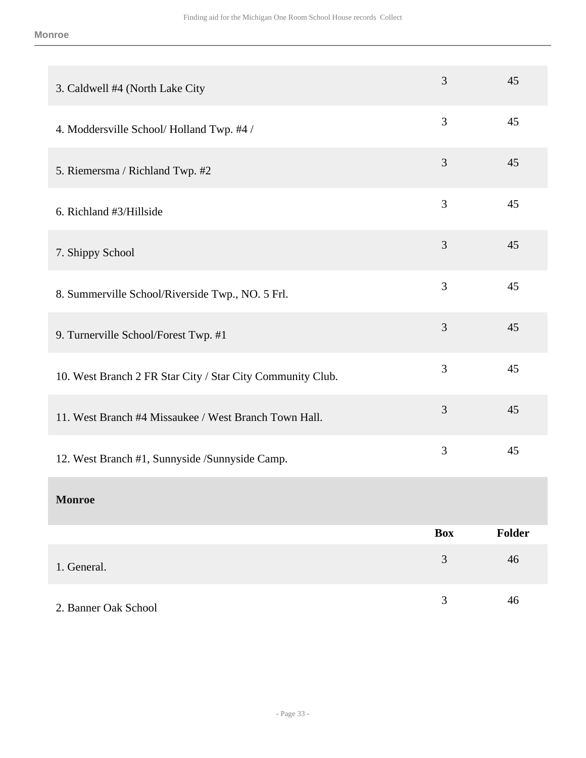| 3. Caldwell #4 (North Lake City                            | 3          | 45     |
|------------------------------------------------------------|------------|--------|
| 4. Moddersville School/Holland Twp. #4 /                   | 3          | 45     |
| 5. Riemersma / Richland Twp. #2                            | 3          | 45     |
| 6. Richland #3/Hillside                                    | 3          | 45     |
| 7. Shippy School                                           | 3          | 45     |
| 8. Summerville School/Riverside Twp., NO. 5 Frl.           | 3          | 45     |
| 9. Turnerville School/Forest Twp. #1                       | 3          | 45     |
| 10. West Branch 2 FR Star City / Star City Community Club. | 3          | 45     |
| 11. West Branch #4 Missaukee / West Branch Town Hall.      | 3          | 45     |
| 12. West Branch #1, Sunnyside /Sunnyside Camp.             | 3          | 45     |
| <b>Monroe</b>                                              |            |        |
|                                                            | <b>Box</b> | Folder |
| 1. General.                                                | 3          | 46     |
| 2. Banner Oak School                                       | 3          | 46     |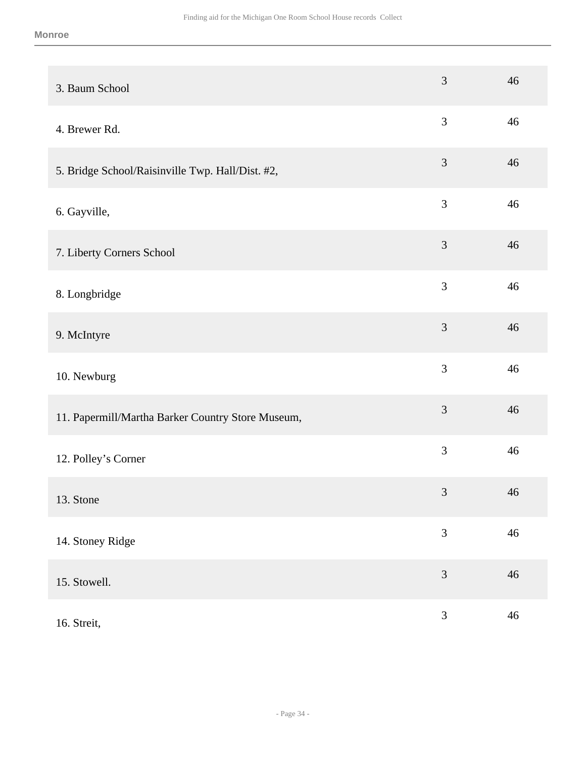| 3. Baum School                                    | 3              | 46     |
|---------------------------------------------------|----------------|--------|
| 4. Brewer Rd.                                     | $\mathfrak{Z}$ | 46     |
| 5. Bridge School/Raisinville Twp. Hall/Dist. #2,  | 3              | 46     |
| 6. Gayville,                                      | 3              | 46     |
| 7. Liberty Corners School                         | $\mathfrak{Z}$ | 46     |
| 8. Longbridge                                     | 3              | 46     |
| 9. McIntyre                                       | 3              | 46     |
| 10. Newburg                                       | 3              | 46     |
| 11. Papermill/Martha Barker Country Store Museum, | 3              | 46     |
| 12. Polley's Corner                               | 3              | 46     |
| 13. Stone                                         | 3              | 46     |
| 14. Stoney Ridge                                  | $\mathfrak{Z}$ | $46\,$ |
| 15. Stowell.                                      | $\mathfrak{Z}$ | 46     |
| 16. Streit,                                       | $\mathfrak{Z}$ | $46\,$ |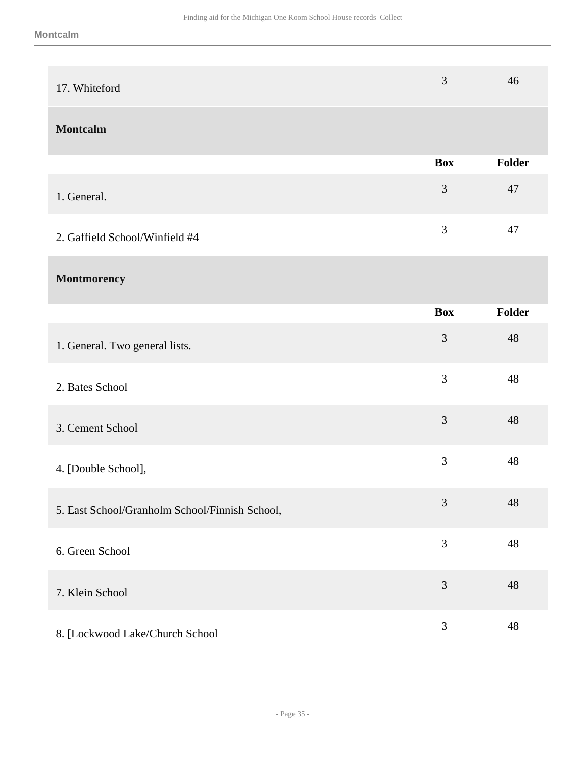| 17. Whiteford                                  | $\mathfrak{Z}$ | 46            |
|------------------------------------------------|----------------|---------------|
| <b>Montcalm</b>                                |                |               |
|                                                | <b>Box</b>     | <b>Folder</b> |
| 1. General.                                    | $\mathfrak{Z}$ | 47            |
| 2. Gaffield School/Winfield #4                 | $\mathfrak{Z}$ | 47            |
| Montmorency                                    |                |               |
|                                                | <b>Box</b>     | Folder        |
| 1. General. Two general lists.                 | 3              | 48            |
| 2. Bates School                                | 3              | 48            |
| 3. Cement School                               | 3              | 48            |
| 4. [Double School],                            | 3              | 48            |
| 5. East School/Granholm School/Finnish School, | $\mathfrak{Z}$ | 48            |
| 6. Green School                                | $\mathfrak{Z}$ | 48            |
| 7. Klein School                                | $\mathfrak{Z}$ | 48            |
| 8. [Lockwood Lake/Church School                | $\mathfrak{Z}$ | 48            |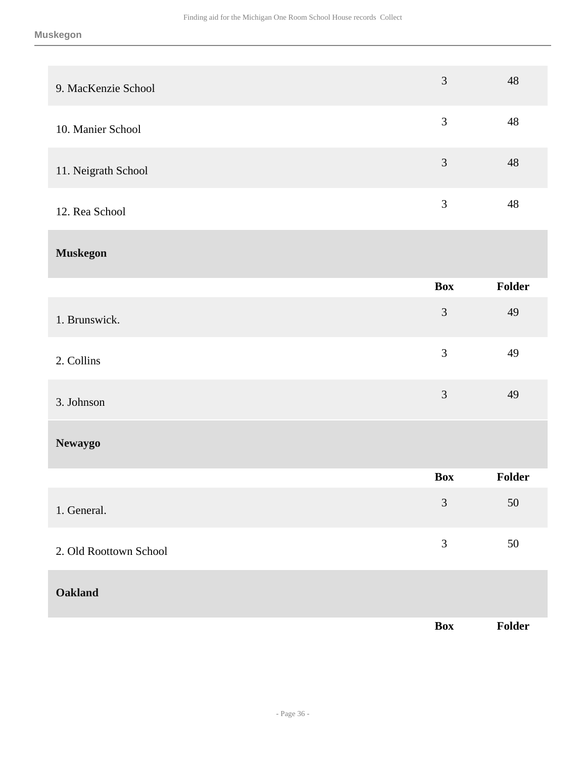| 9. MacKenzie School    | 3              | 48     |
|------------------------|----------------|--------|
| 10. Manier School      | 3              | 48     |
| 11. Neigrath School    | 3              | 48     |
| 12. Rea School         | 3              | 48     |
| <b>Muskegon</b>        |                |        |
|                        | <b>Box</b>     | Folder |
| 1. Brunswick.          | $\mathfrak{Z}$ | 49     |
| 2. Collins             | 3              | 49     |
| 3. Johnson             | 3              | 49     |
| <b>Newaygo</b>         |                |        |
|                        | <b>Box</b>     | Folder |
| 1. General.            | $\mathfrak{Z}$ | $50\,$ |
| 2. Old Roottown School | $\mathfrak{Z}$ | $50\,$ |
| Oakland                |                |        |
|                        | Box            | Folder |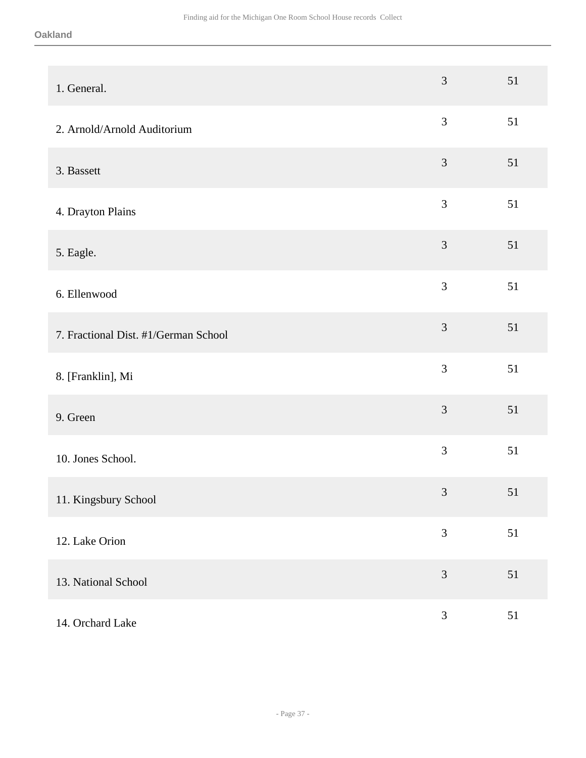| 1. General.                          | $\mathfrak{Z}$ | 51 |
|--------------------------------------|----------------|----|
| 2. Arnold/Arnold Auditorium          | 3              | 51 |
| 3. Bassett                           | $\mathfrak{Z}$ | 51 |
| 4. Drayton Plains                    | $\mathfrak{Z}$ | 51 |
| 5. Eagle.                            | $\overline{3}$ | 51 |
| 6. Ellenwood                         | 3              | 51 |
| 7. Fractional Dist. #1/German School | 3              | 51 |
| 8. [Franklin], Mi                    | 3              | 51 |
| 9. Green                             | $\mathfrak{Z}$ | 51 |
| 10. Jones School.                    | $\mathfrak{Z}$ | 51 |
| 11. Kingsbury School                 | $\mathfrak 3$  | 51 |
| 12. Lake Orion                       | $\overline{3}$ | 51 |
| 13. National School                  | $\mathfrak{Z}$ | 51 |
| 14. Orchard Lake                     | $\mathfrak{Z}$ | 51 |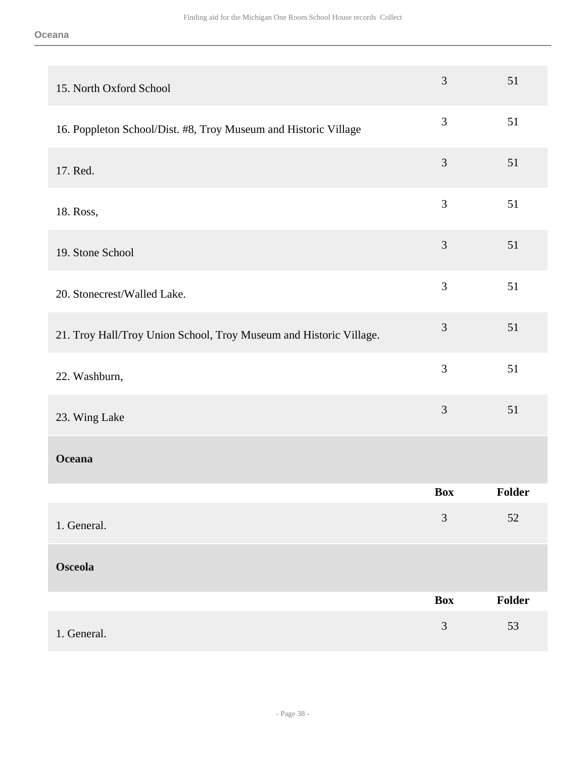| 15. North Oxford School                                            | $\mathfrak{Z}$ | 51            |
|--------------------------------------------------------------------|----------------|---------------|
| 16. Poppleton School/Dist. #8, Troy Museum and Historic Village    | 3              | 51            |
| 17. Red.                                                           | $\mathfrak{Z}$ | 51            |
| 18. Ross,                                                          | 3              | 51            |
| 19. Stone School                                                   | $\mathfrak{Z}$ | 51            |
| 20. Stonecrest/Walled Lake.                                        | 3              | 51            |
| 21. Troy Hall/Troy Union School, Troy Museum and Historic Village. | $\mathfrak{Z}$ | 51            |
| 22. Washburn,                                                      | 3              | 51            |
| 23. Wing Lake                                                      | $\mathfrak{Z}$ | 51            |
| <b>Oceana</b>                                                      |                |               |
|                                                                    | <b>Box</b>     | <b>Folder</b> |
| 1. General.                                                        | 3              | $52\,$        |
| <b>Osceola</b>                                                     |                |               |
|                                                                    | <b>Box</b>     | Folder        |
| 1. General.                                                        | $\mathfrak{Z}$ | 53            |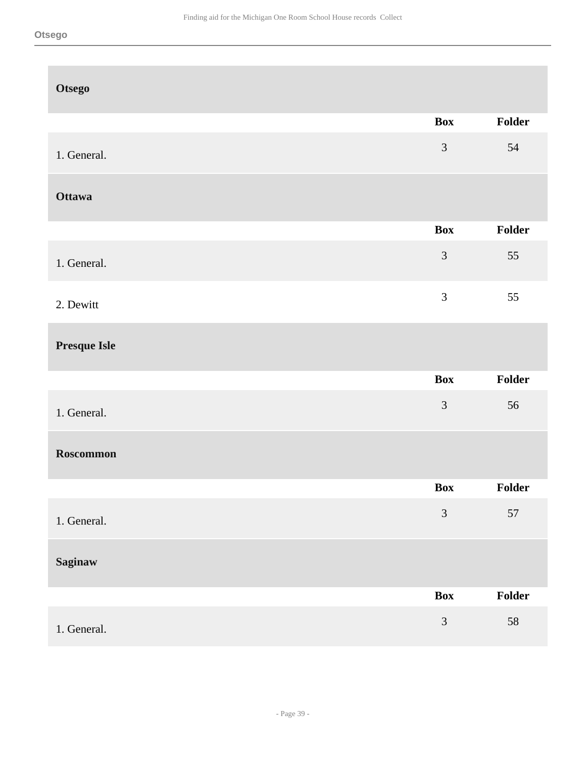| <b>Otsego</b>       |                |        |
|---------------------|----------------|--------|
|                     | <b>Box</b>     | Folder |
| 1. General.         | $\mathfrak{Z}$ | 54     |
| <b>Ottawa</b>       |                |        |
|                     | <b>Box</b>     | Folder |
| 1. General.         | $\mathfrak{Z}$ | 55     |
| 2. Dewitt           | $\mathfrak{Z}$ | 55     |
| <b>Presque Isle</b> |                |        |
|                     | <b>Box</b>     | Folder |
| 1. General.         | $\mathfrak{Z}$ | 56     |
| Roscommon           |                |        |
|                     | Box            | Folder |
| 1. General.         | $\mathfrak{Z}$ | 57     |
| <b>Saginaw</b>      |                |        |
|                     | <b>Box</b>     | Folder |
| 1. General.         | $\mathfrak{Z}$ | 58     |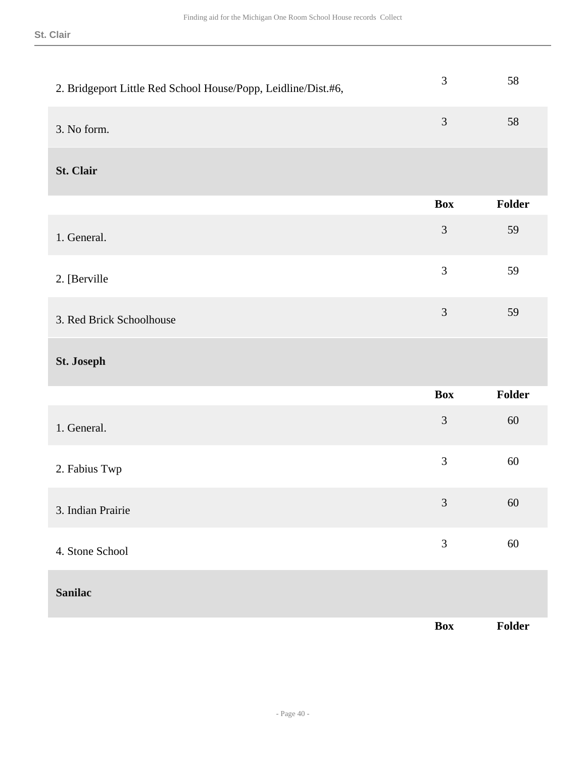| 2. Bridgeport Little Red School House/Popp, Leidline/Dist.#6, | 3              | 58     |
|---------------------------------------------------------------|----------------|--------|
| 3. No form.                                                   | 3              | 58     |
| St. Clair                                                     |                |        |
|                                                               | <b>Box</b>     | Folder |
| 1. General.                                                   | $\mathfrak{Z}$ | 59     |
| 2. [Berville                                                  | 3              | 59     |
| 3. Red Brick Schoolhouse                                      | 3              | 59     |
| St. Joseph                                                    |                |        |
|                                                               | <b>Box</b>     | Folder |
| 1. General.                                                   | 3              | 60     |
| 2. Fabius Twp                                                 | $\mathfrak{Z}$ | 60     |
| 3. Indian Prairie                                             | 3              | 60     |
| 4. Stone School                                               | $\mathfrak{Z}$ | $60\,$ |
| <b>Sanilac</b>                                                |                |        |
|                                                               | Box            | Folder |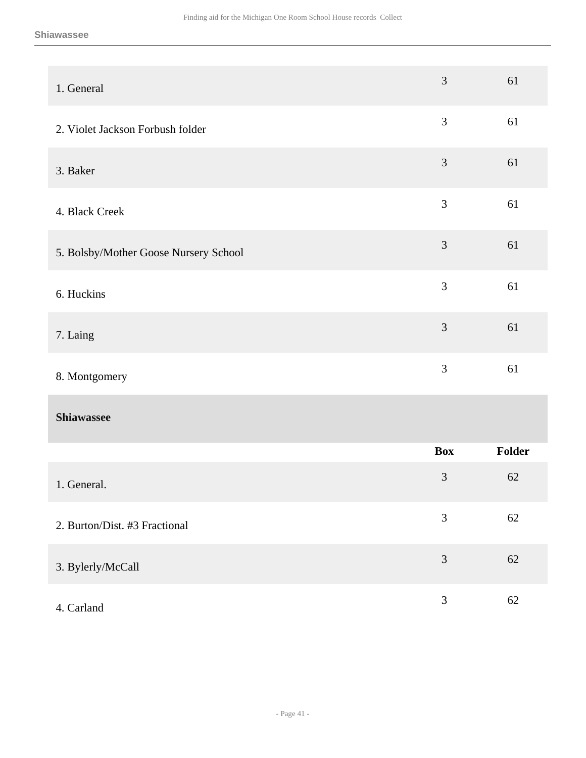| 1. General                            | 3              | 61     |
|---------------------------------------|----------------|--------|
| 2. Violet Jackson Forbush folder      | $\mathfrak{Z}$ | 61     |
| 3. Baker                              | $\mathfrak{Z}$ | 61     |
| 4. Black Creek                        | 3              | 61     |
| 5. Bolsby/Mother Goose Nursery School | $\mathfrak{Z}$ | 61     |
| 6. Huckins                            | 3              | 61     |
| 7. Laing                              | $\mathfrak{Z}$ | 61     |
| 8. Montgomery                         | 3              | 61     |
| Shiawassee                            |                |        |
|                                       | <b>Box</b>     | Folder |
| 1. General.                           | 3              | 62     |
| 2. Burton/Dist. #3 Fractional         | $\mathfrak{Z}$ | 62     |
| 3. Bylerly/McCall                     | 3              | 62     |
| 4. Carland                            | $\mathfrak{Z}$ | 62     |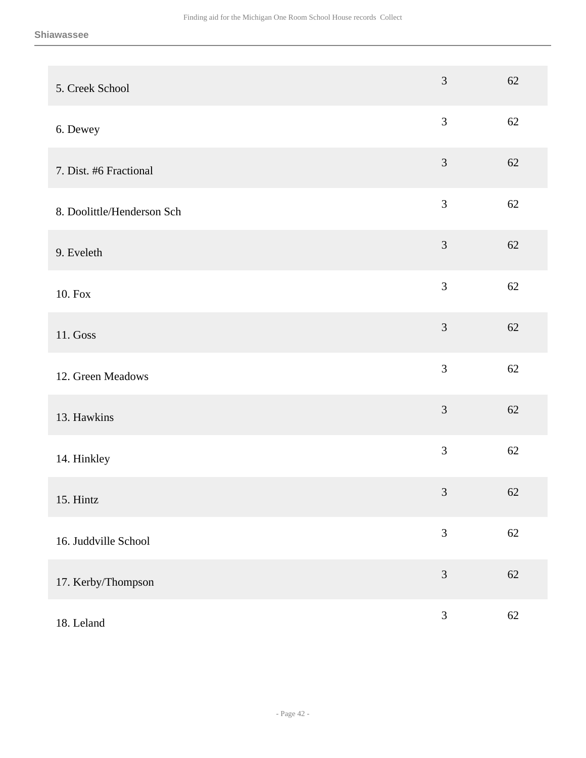| 5. Creek School            | 3              | 62     |
|----------------------------|----------------|--------|
| 6. Dewey                   | 3              | 62     |
| 7. Dist. #6 Fractional     | $\mathfrak{Z}$ | 62     |
| 8. Doolittle/Henderson Sch | $\mathfrak{Z}$ | 62     |
| 9. Eveleth                 | 3              | 62     |
| 10. Fox                    | $\overline{3}$ | 62     |
| 11. Goss                   | $\mathfrak{Z}$ | 62     |
| 12. Green Meadows          | $\overline{3}$ | 62     |
| 13. Hawkins                | 3              | 62     |
| 14. Hinkley                | 3              | 62     |
| 15. Hintz                  | $\mathfrak{Z}$ | 62     |
| 16. Juddville School       | $\overline{3}$ | 62     |
| 17. Kerby/Thompson         | 3              | 62     |
| 18. Leland                 | $\mathfrak{Z}$ | $62\,$ |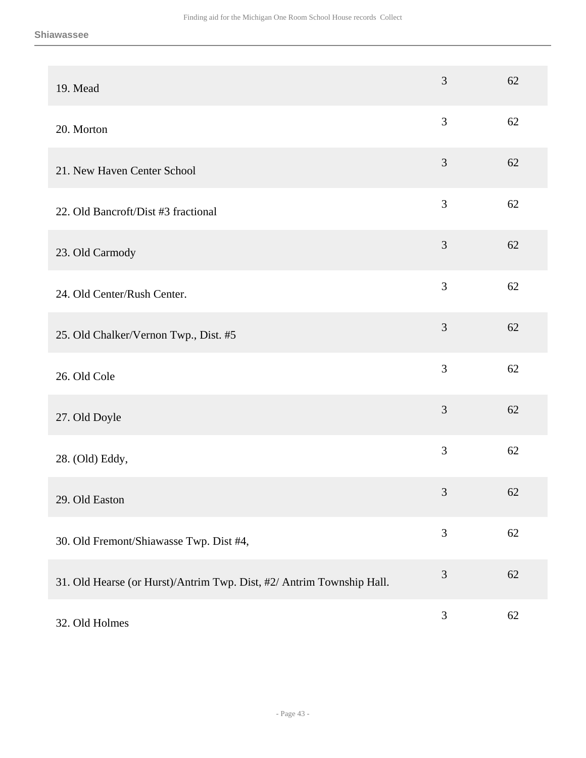| 19. Mead                                                              | 3              | 62 |
|-----------------------------------------------------------------------|----------------|----|
| 20. Morton                                                            | 3              | 62 |
| 21. New Haven Center School                                           | $\mathfrak{Z}$ | 62 |
| 22. Old Bancroft/Dist #3 fractional                                   | 3              | 62 |
| 23. Old Carmody                                                       | 3              | 62 |
| 24. Old Center/Rush Center.                                           | 3              | 62 |
| 25. Old Chalker/Vernon Twp., Dist. #5                                 | 3              | 62 |
| 26. Old Cole                                                          | 3              | 62 |
| 27. Old Doyle                                                         | 3              | 62 |
| 28. (Old) Eddy,                                                       | 3              | 62 |
| 29. Old Easton                                                        | $\mathfrak{Z}$ | 62 |
| 30. Old Fremont/Shiawasse Twp. Dist #4,                               | 3              | 62 |
| 31. Old Hearse (or Hurst)/Antrim Twp. Dist, #2/ Antrim Township Hall. | 3              | 62 |
| 32. Old Holmes                                                        | $\mathfrak{Z}$ | 62 |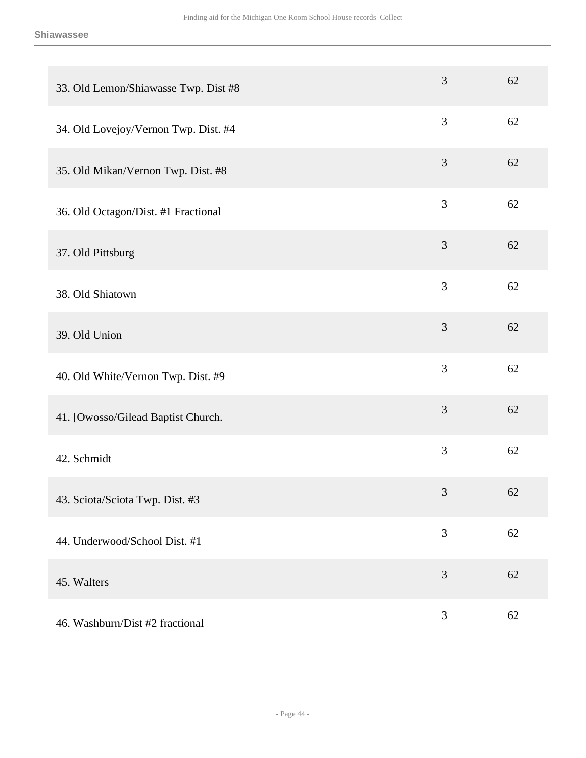| 33. Old Lemon/Shiawasse Twp. Dist #8 | 3              | 62     |
|--------------------------------------|----------------|--------|
| 34. Old Lovejoy/Vernon Twp. Dist. #4 | 3              | 62     |
| 35. Old Mikan/Vernon Twp. Dist. #8   | 3              | 62     |
| 36. Old Octagon/Dist. #1 Fractional  | $\mathfrak{Z}$ | 62     |
| 37. Old Pittsburg                    | $\mathfrak{Z}$ | 62     |
| 38. Old Shiatown                     | 3              | 62     |
| 39. Old Union                        | $\mathfrak{Z}$ | 62     |
| 40. Old White/Vernon Twp. Dist. #9   | 3              | 62     |
| 41. [Owosso/Gilead Baptist Church.   | 3              | 62     |
| 42. Schmidt                          | 3              | 62     |
| 43. Sciota/Sciota Twp. Dist. #3      | $\mathfrak{Z}$ | 62     |
| 44. Underwood/School Dist. #1        | 3              | 62     |
| 45. Walters                          | $\mathfrak{Z}$ | 62     |
| 46. Washburn/Dist #2 fractional      | $\mathfrak{Z}$ | $62\,$ |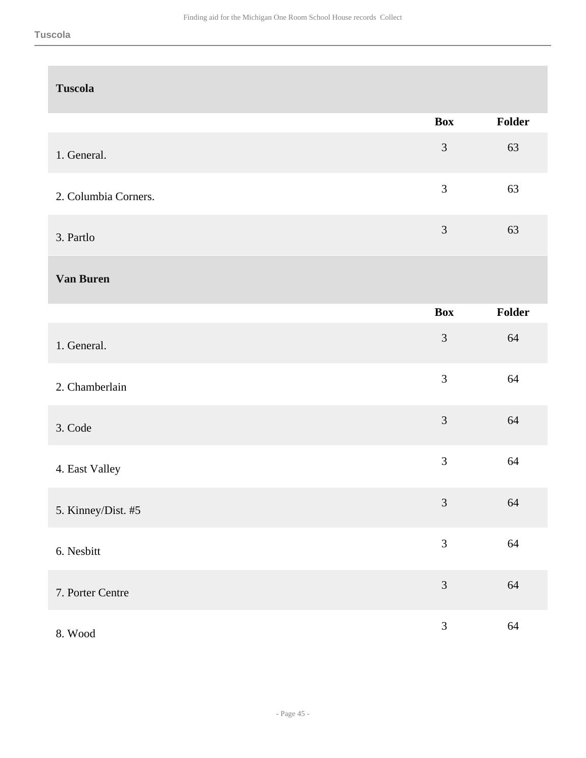| <b>Tuscola</b>       |                |        |
|----------------------|----------------|--------|
|                      | <b>Box</b>     | Folder |
| 1. General.          | $\mathfrak{Z}$ | 63     |
| 2. Columbia Corners. | $\mathfrak{Z}$ | 63     |
| 3. Partlo            | $\mathfrak{Z}$ | 63     |
| Van Buren            |                |        |
|                      | <b>Box</b>     | Folder |
| 1. General.          | $\mathfrak{Z}$ | 64     |
| 2. Chamberlain       | 3              | 64     |
| 3. Code              | 3              | 64     |
| 4. East Valley       | $\mathfrak{Z}$ | 64     |
| 5. Kinney/Dist. #5   | $\mathfrak{Z}$ | 64     |
| 6. Nesbitt           | $\mathfrak{Z}$ | 64     |
| 7. Porter Centre     | $\mathfrak{Z}$ | 64     |
| 8. Wood              | $\mathfrak{Z}$ | 64     |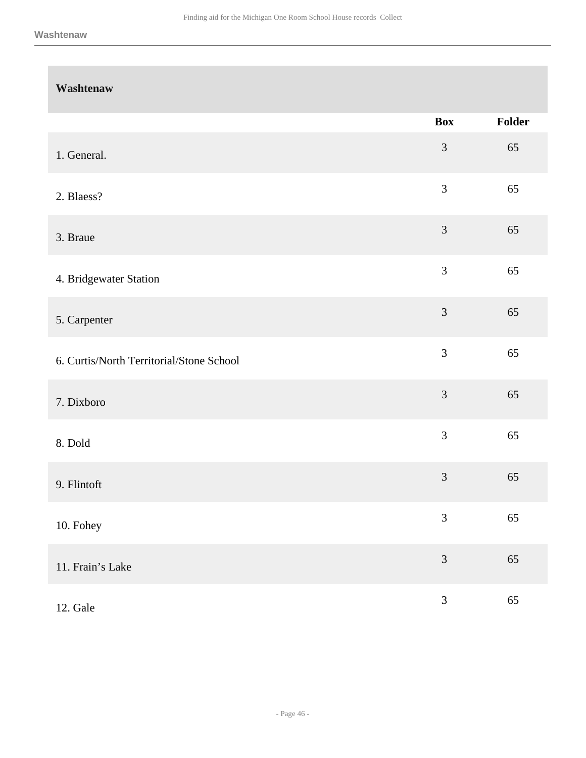| Washtenaw                                |                |        |
|------------------------------------------|----------------|--------|
|                                          | <b>Box</b>     | Folder |
| 1. General.                              | $\mathfrak{Z}$ | 65     |
| 2. Blaess?                               | $\mathfrak{Z}$ | 65     |
| 3. Braue                                 | 3              | 65     |
| 4. Bridgewater Station                   | $\mathfrak{Z}$ | 65     |
| 5. Carpenter                             | $\mathfrak{Z}$ | 65     |
| 6. Curtis/North Territorial/Stone School | $\overline{3}$ | 65     |
| 7. Dixboro                               | $\mathfrak{Z}$ | 65     |
| 8. Dold                                  | 3              | 65     |
| 9. Flintoft                              | $\mathfrak{Z}$ | 65     |
| 10. Fohey                                | $\mathfrak{Z}$ | 65     |
| 11. Frain's Lake                         | $\mathfrak{Z}$ | 65     |
| 12. Gale                                 | $\mathfrak{Z}$ | 65     |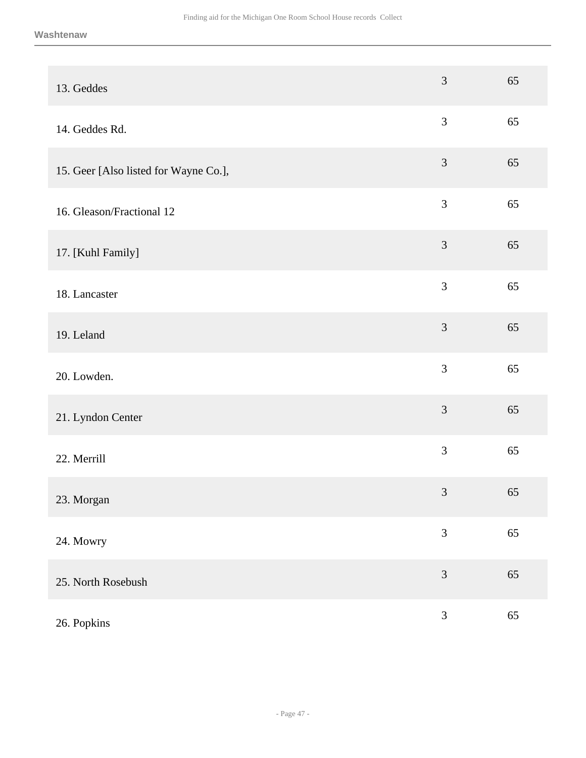| 13. Geddes                            | 3                           | 65 |
|---------------------------------------|-----------------------------|----|
| 14. Geddes Rd.                        | 3                           | 65 |
| 15. Geer [Also listed for Wayne Co.], | $\mathfrak{Z}$              | 65 |
| 16. Gleason/Fractional 12             | 3                           | 65 |
| 17. [Kuhl Family]                     | 3                           | 65 |
| 18. Lancaster                         | 3                           | 65 |
| 19. Leland                            | 3                           | 65 |
| 20. Lowden.                           | 3                           | 65 |
| 21. Lyndon Center                     | 3                           | 65 |
| 22. Merrill                           | 3                           | 65 |
| 23. Morgan                            | $\ensuremath{\mathfrak{Z}}$ | 65 |
| 24. Mowry                             | 3                           | 65 |
| 25. North Rosebush                    | 3                           | 65 |
| 26. Popkins                           | 3                           | 65 |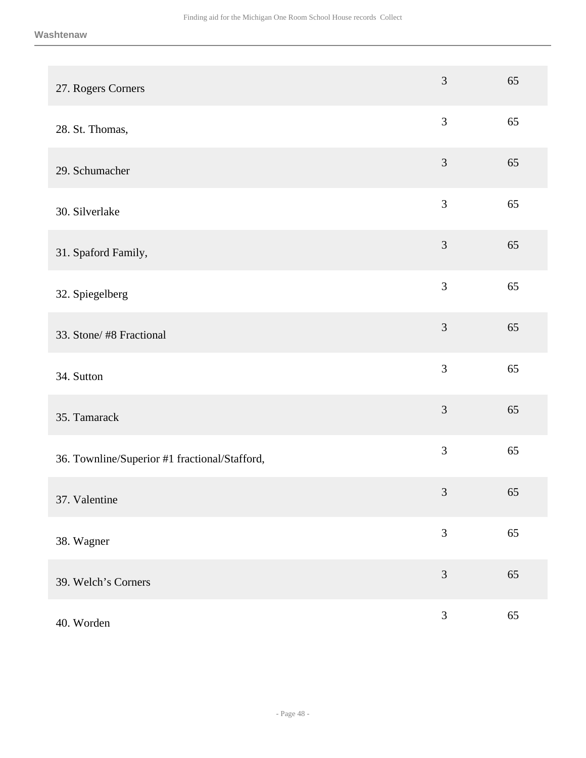| 27. Rogers Corners                            | 3              | 65 |
|-----------------------------------------------|----------------|----|
| 28. St. Thomas,                               | $\mathfrak{Z}$ | 65 |
| 29. Schumacher                                | $\mathfrak{Z}$ | 65 |
| 30. Silverlake                                | $\mathfrak{Z}$ | 65 |
| 31. Spaford Family,                           | $\mathfrak{Z}$ | 65 |
| 32. Spiegelberg                               | 3              | 65 |
| 33. Stone/#8 Fractional                       | $\mathfrak{Z}$ | 65 |
| 34. Sutton                                    | $\mathfrak{Z}$ | 65 |
| 35. Tamarack                                  | 3              | 65 |
| 36. Townline/Superior #1 fractional/Stafford, | $\mathfrak{Z}$ | 65 |
| 37. Valentine                                 | $\mathfrak{Z}$ | 65 |
| 38. Wagner                                    | 3              | 65 |
| 39. Welch's Corners                           | 3              | 65 |
| 40. Worden                                    | $\mathfrak{Z}$ | 65 |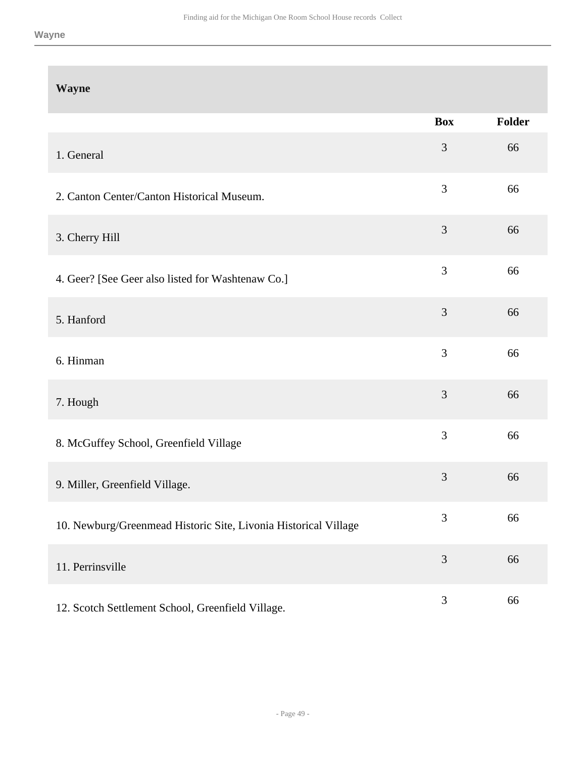| <b>Wayne</b>                                                    |                |        |
|-----------------------------------------------------------------|----------------|--------|
|                                                                 | <b>Box</b>     | Folder |
| 1. General                                                      | 3              | 66     |
| 2. Canton Center/Canton Historical Museum.                      | $\mathfrak{Z}$ | 66     |
| 3. Cherry Hill                                                  | $\mathfrak{Z}$ | 66     |
| 4. Geer? [See Geer also listed for Washtenaw Co.]               | $\mathfrak{Z}$ | 66     |
| 5. Hanford                                                      | $\mathfrak{Z}$ | 66     |
| 6. Hinman                                                       | 3              | 66     |
| 7. Hough                                                        | 3              | 66     |
| 8. McGuffey School, Greenfield Village                          | $\mathfrak{Z}$ | 66     |
| 9. Miller, Greenfield Village.                                  | 3              | 66     |
| 10. Newburg/Greenmead Historic Site, Livonia Historical Village | $\mathfrak{Z}$ | 66     |
| 11. Perrinsville                                                | $\mathfrak{Z}$ | 66     |
| 12. Scotch Settlement School, Greenfield Village.               | $\mathfrak{Z}$ | 66     |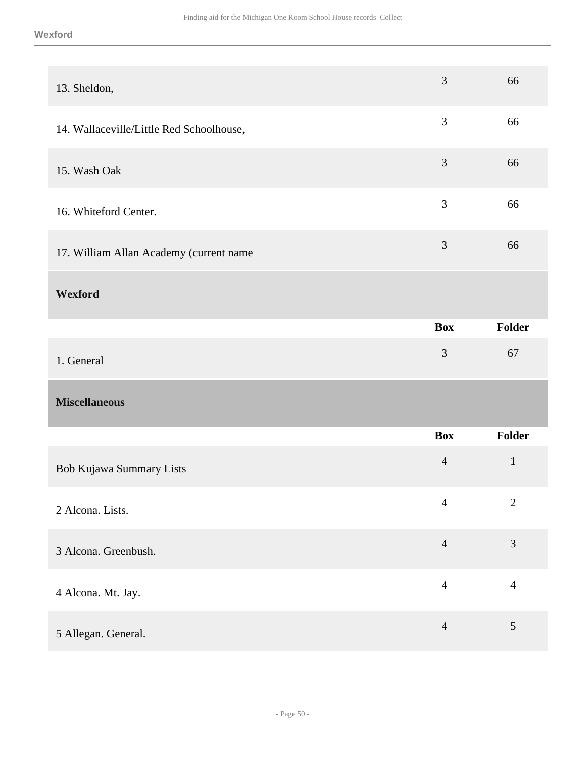<span id="page-49-0"></span>

| 13. Sheldon,                             | 3              | 66             |
|------------------------------------------|----------------|----------------|
| 14. Wallaceville/Little Red Schoolhouse, | $\mathfrak{Z}$ | 66             |
| 15. Wash Oak                             | $\mathfrak{Z}$ | 66             |
| 16. Whiteford Center.                    | 3              | 66             |
| 17. William Allan Academy (current name  | $\mathfrak{Z}$ | 66             |
| Wexford                                  |                |                |
|                                          | <b>Box</b>     | Folder         |
|                                          |                |                |
| 1. General                               | $\mathfrak{Z}$ | 67             |
| <b>Miscellaneous</b>                     |                |                |
|                                          | <b>Box</b>     | Folder         |
| Bob Kujawa Summary Lists                 | $\overline{4}$ | $\mathbf{1}$   |
| 2 Alcona. Lists.                         | $\overline{4}$ | $\overline{2}$ |
| 3 Alcona. Greenbush.                     | $\overline{4}$ | $\mathfrak{Z}$ |
| 4 Alcona. Mt. Jay.                       | $\overline{4}$ | $\overline{4}$ |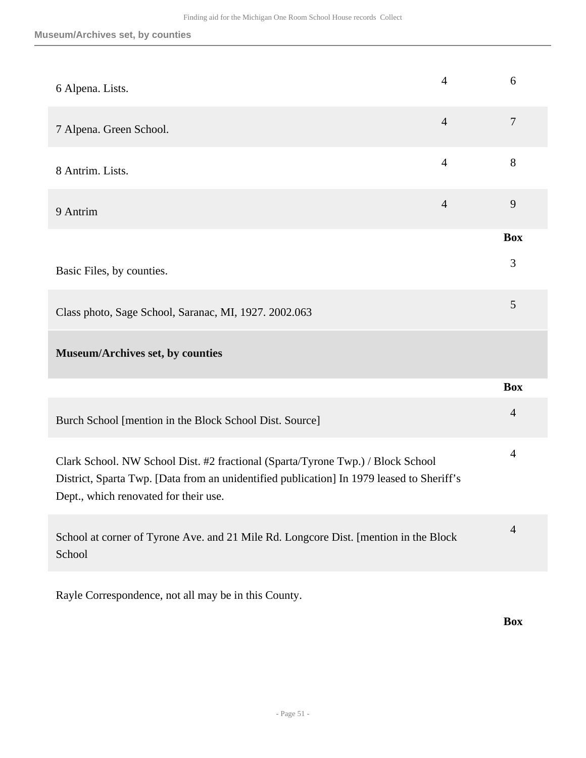| 6 Alpena. Lists.                                                                                                                                                                                                      | $\overline{4}$ | 6              |
|-----------------------------------------------------------------------------------------------------------------------------------------------------------------------------------------------------------------------|----------------|----------------|
| 7 Alpena. Green School.                                                                                                                                                                                               | $\overline{4}$ | $\overline{7}$ |
| 8 Antrim. Lists.                                                                                                                                                                                                      | $\overline{4}$ | $8\,$          |
| 9 Antrim                                                                                                                                                                                                              | $\overline{4}$ | 9              |
|                                                                                                                                                                                                                       |                | <b>Box</b>     |
| Basic Files, by counties.                                                                                                                                                                                             |                | 3              |
| Class photo, Sage School, Saranac, MI, 1927. 2002.063                                                                                                                                                                 |                | 5              |
| Museum/Archives set, by counties                                                                                                                                                                                      |                |                |
|                                                                                                                                                                                                                       |                | <b>Box</b>     |
| Burch School [mention in the Block School Dist. Source]                                                                                                                                                               |                | $\overline{4}$ |
| Clark School. NW School Dist. #2 fractional (Sparta/Tyrone Twp.) / Block School<br>District, Sparta Twp. [Data from an unidentified publication] In 1979 leased to Sheriff's<br>Dept., which renovated for their use. |                | $\overline{4}$ |
| School at corner of Tyrone Ave. and 21 Mile Rd. Longcore Dist. [mention in the Block<br>School                                                                                                                        |                | $\overline{4}$ |
|                                                                                                                                                                                                                       |                |                |

Rayle Correspondence, not all may be in this County.

**Box**